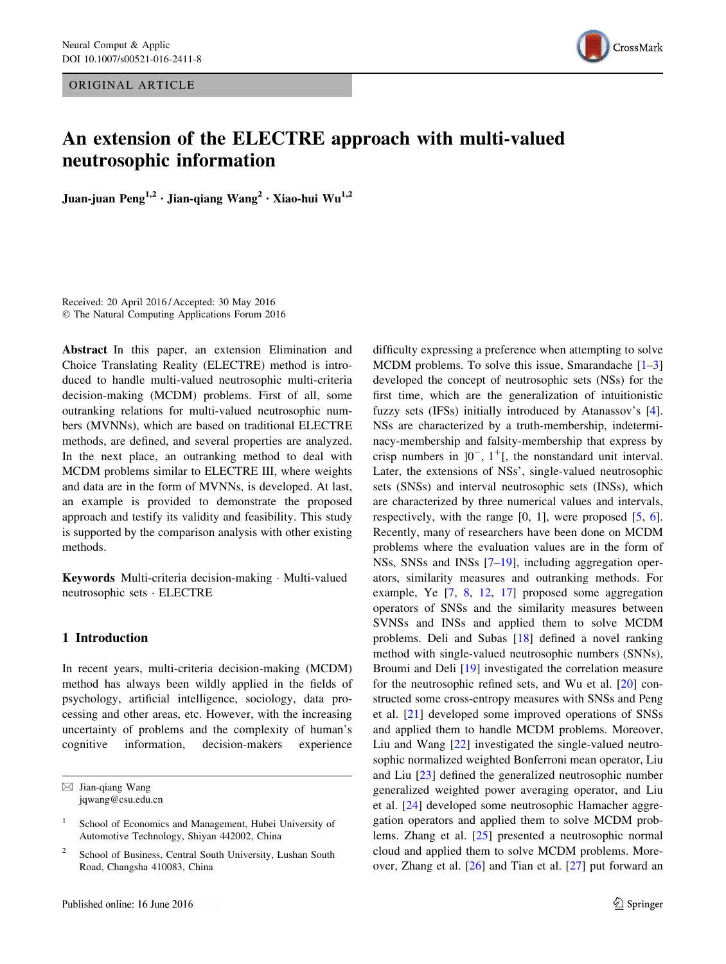ORIGINAL ARTICLE



# An extension of the ELECTRE approach with multi-valued neutrosophic information

Juan-juan Peng<sup>1,2</sup> • Jian-qiang Wang<sup>2</sup> • Xiao-hui Wu<sup>1,2</sup>

Received: 20 April 2016 / Accepted: 30 May 2016 © The Natural Computing Applications Forum 2016

Abstract In this paper, an extension Elimination and Choice Translating Reality (ELECTRE) method is introduced to handle multi-valued neutrosophic multi-criteria decision-making (MCDM) problems. First of all, some outranking relations for multi-valued neutrosophic numbers (MVNNs), which are based on traditional ELECTRE methods, are defined, and several properties are analyzed. In the next place, an outranking method to deal with MCDM problems similar to ELECTRE III, where weights and data are in the form of MVNNs, is developed. At last, an example is provided to demonstrate the proposed approach and testify its validity and feasibility. This study is supported by the comparison analysis with other existing methods.

Keywords Multi-criteria decision-making - Multi-valued neutrosophic sets - ELECTRE

# 1 Introduction

In recent years, multi-criteria decision-making (MCDM) method has always been wildly applied in the fields of psychology, artificial intelligence, sociology, data processing and other areas, etc. However, with the increasing uncertainty of problems and the complexity of human's cognitive information, decision-makers experience

 $\boxtimes$  Jian-qiang Wang jqwang@csu.edu.cn difficulty expressing a preference when attempting to solve MCDM problems. To solve this issue, Smarandache [[1–3\]](#page-10-0) developed the concept of neutrosophic sets (NSs) for the first time, which are the generalization of intuitionistic fuzzy sets (IFSs) initially introduced by Atanassov's [\[4](#page-10-0)]. NSs are characterized by a truth-membership, indeterminacy-membership and falsity-membership that express by crisp numbers in  $]0^-, 1^+]$ , the nonstandard unit interval. Later, the extensions of NSs', single-valued neutrosophic sets (SNSs) and interval neutrosophic sets (INSs), which are characterized by three numerical values and intervals, respectively, with the range  $[0, 1]$ , were proposed  $[5, 6]$  $[5, 6]$  $[5, 6]$  $[5, 6]$  $[5, 6]$ . Recently, many of researchers have been done on MCDM problems where the evaluation values are in the form of NSs, SNSs and INSs [\[7](#page-10-0)[–19](#page-11-0)], including aggregation operators, similarity measures and outranking methods. For example, Ye [[7,](#page-10-0) [8](#page-10-0), [12,](#page-10-0) [17\]](#page-11-0) proposed some aggregation operators of SNSs and the similarity measures between SVNSs and INSs and applied them to solve MCDM problems. Deli and Subas [\[18](#page-11-0)] defined a novel ranking method with single-valued neutrosophic numbers (SNNs), Broumi and Deli [\[19](#page-11-0)] investigated the correlation measure for the neutrosophic refined sets, and Wu et al. [\[20](#page-11-0)] constructed some cross-entropy measures with SNSs and Peng et al. [\[21](#page-11-0)] developed some improved operations of SNSs and applied them to handle MCDM problems. Moreover, Liu and Wang [[22\]](#page-11-0) investigated the single-valued neutrosophic normalized weighted Bonferroni mean operator, Liu and Liu [\[23](#page-11-0)] defined the generalized neutrosophic number generalized weighted power averaging operator, and Liu et al. [\[24](#page-11-0)] developed some neutrosophic Hamacher aggregation operators and applied them to solve MCDM problems. Zhang et al. [[25\]](#page-11-0) presented a neutrosophic normal cloud and applied them to solve MCDM problems. Moreover, Zhang et al. [\[26](#page-11-0)] and Tian et al. [[27\]](#page-11-0) put forward an

School of Economics and Management, Hubei University of Automotive Technology, Shiyan 442002, China

<sup>&</sup>lt;sup>2</sup> School of Business, Central South University, Lushan South Road, Changsha 410083, China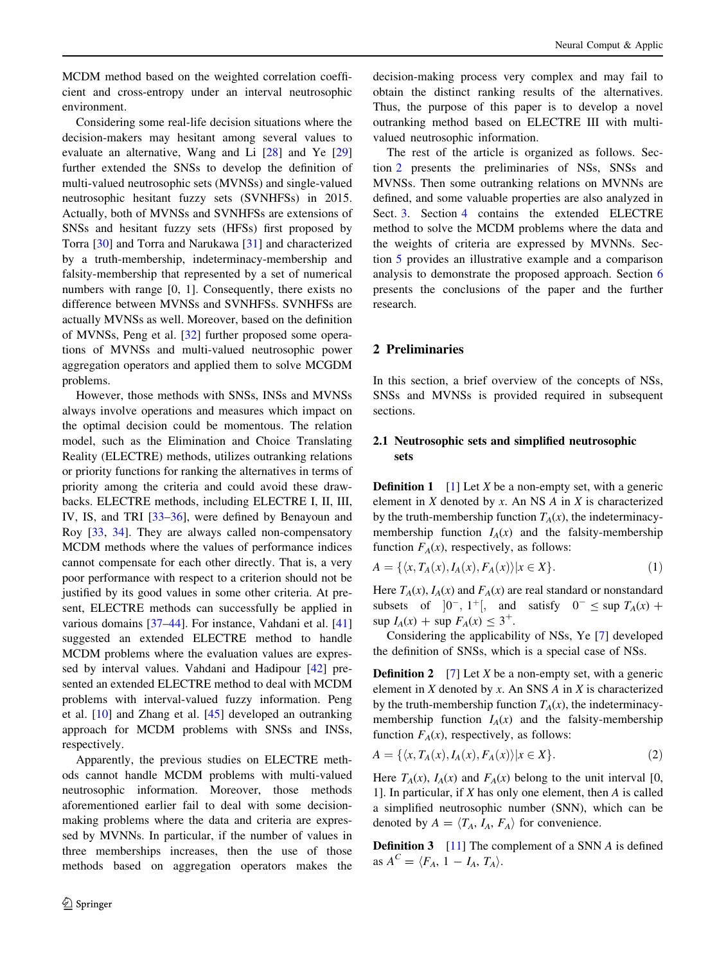MCDM method based on the weighted correlation coefficient and cross-entropy under an interval neutrosophic environment.

Considering some real-life decision situations where the decision-makers may hesitant among several values to evaluate an alternative, Wang and Li [[28\]](#page-11-0) and Ye [[29\]](#page-11-0) further extended the SNSs to develop the definition of multi-valued neutrosophic sets (MVNSs) and single-valued neutrosophic hesitant fuzzy sets (SVNHFSs) in 2015. Actually, both of MVNSs and SVNHFSs are extensions of SNSs and hesitant fuzzy sets (HFSs) first proposed by Torra [\[30](#page-11-0)] and Torra and Narukawa [\[31](#page-11-0)] and characterized by a truth-membership, indeterminacy-membership and falsity-membership that represented by a set of numerical numbers with range [0, 1]. Consequently, there exists no difference between MVNSs and SVNHFSs. SVNHFSs are actually MVNSs as well. Moreover, based on the definition of MVNSs, Peng et al. [[32\]](#page-11-0) further proposed some operations of MVNSs and multi-valued neutrosophic power aggregation operators and applied them to solve MCGDM problems.

However, those methods with SNSs, INSs and MVNSs always involve operations and measures which impact on the optimal decision could be momentous. The relation model, such as the Elimination and Choice Translating Reality (ELECTRE) methods, utilizes outranking relations or priority functions for ranking the alternatives in terms of priority among the criteria and could avoid these drawbacks. ELECTRE methods, including ELECTRE I, II, III, IV, IS, and TRI [[33–36\]](#page-11-0), were defined by Benayoun and Roy [\[33](#page-11-0), [34](#page-11-0)]. They are always called non-compensatory MCDM methods where the values of performance indices cannot compensate for each other directly. That is, a very poor performance with respect to a criterion should not be justified by its good values in some other criteria. At present, ELECTRE methods can successfully be applied in various domains [[37–44\]](#page-11-0). For instance, Vahdani et al. [[41\]](#page-11-0) suggested an extended ELECTRE method to handle MCDM problems where the evaluation values are expressed by interval values. Vahdani and Hadipour [\[42](#page-11-0)] presented an extended ELECTRE method to deal with MCDM problems with interval-valued fuzzy information. Peng et al. [[10\]](#page-10-0) and Zhang et al. [[45\]](#page-11-0) developed an outranking approach for MCDM problems with SNSs and INSs, respectively.

Apparently, the previous studies on ELECTRE methods cannot handle MCDM problems with multi-valued neutrosophic information. Moreover, those methods aforementioned earlier fail to deal with some decisionmaking problems where the data and criteria are expressed by MVNNs. In particular, if the number of values in three memberships increases, then the use of those methods based on aggregation operators makes the decision-making process very complex and may fail to obtain the distinct ranking results of the alternatives. Thus, the purpose of this paper is to develop a novel outranking method based on ELECTRE III with multivalued neutrosophic information.

The rest of the article is organized as follows. Section 2 presents the preliminaries of NSs, SNSs and MVNSs. Then some outranking relations on MVNNs are defined, and some valuable properties are also analyzed in Sect. [3](#page-2-0). Section [4](#page-7-0) contains the extended ELECTRE method to solve the MCDM problems where the data and the weights of criteria are expressed by MVNNs. Section [5](#page-8-0) provides an illustrative example and a comparison analysis to demonstrate the proposed approach. Section [6](#page-10-0) presents the conclusions of the paper and the further research.

## 2 Preliminaries

In this section, a brief overview of the concepts of NSs, SNSs and MVNSs is provided required in subsequent sections.

# 2.1 Neutrosophic sets and simplified neutrosophic sets

**Definition 1** [\[1](#page-10-0)] Let X be a non-empty set, with a generic element in  $X$  denoted by  $x$ . An NS  $A$  in  $X$  is characterized by the truth-membership function  $T_A(x)$ , the indeterminacymembership function  $I_A(x)$  and the falsity-membership function  $F_A(x)$ , respectively, as follows:

$$
A = \{ \langle x, T_A(x), I_A(x), F_A(x) \rangle | x \in X \}. \tag{1}
$$

Here  $T_A(x)$ ,  $I_A(x)$  and  $F_A(x)$  are real standard or nonstandard subsets of  $[0^-, 1^+]$ , and satisfy  $0^- \leq \sup T_A(x)$  +  $\sup I_A(x) + \sup F_A(x) \leq 3^+$ .

Considering the applicability of NSs, Ye [\[7](#page-10-0)] developed the definition of SNSs, which is a special case of NSs.

**Definition 2** [\[7](#page-10-0)] Let X be a non-empty set, with a generic element in  $X$  denoted by  $x$ . An SNS  $A$  in  $X$  is characterized by the truth-membership function  $T_A(x)$ , the indeterminacymembership function  $I_A(x)$  and the falsity-membership function  $F_A(x)$ , respectively, as follows:

$$
A = \{ \langle x, T_A(x), I_A(x), F_A(x) \rangle | x \in X \}. \tag{2}
$$

Here  $T_A(x)$ ,  $I_A(x)$  and  $F_A(x)$  belong to the unit interval [0, 1]. In particular, if X has only one element, then A is called a simplified neutrosophic number (SNN), which can be denoted by  $A = \langle T_A, I_A, F_A \rangle$  for convenience.

**Definition 3** [\[11](#page-10-0)] The complement of a SNN  $\vec{A}$  is defined as  $A^C = \langle F_A, 1 - I_A, T_A \rangle$ .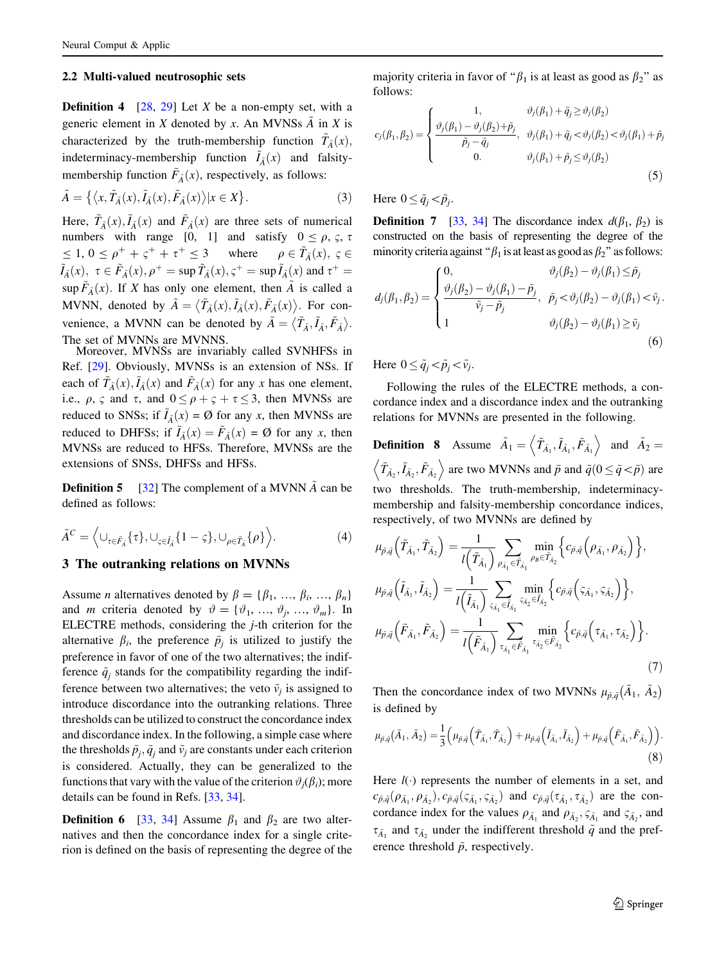#### <span id="page-2-0"></span>2.2 Multi-valued neutrosophic sets

**Definition 4** [\[28](#page-11-0), [29\]](#page-11-0) Let X be a non-empty set, with a generic element in  $X$  denoted by  $x$ . An MVNSs  $\overline{A}$  in  $X$  is characterized by the truth-membership function  $\tilde{T}_{\tilde{A}}(x)$ , indeterminacy-membership function  $\tilde{I}_{\tilde{A}}(x)$  and falsitymembership function  $\tilde{F}_{\tilde{A}}(x)$ , respectively, as follows:

$$
\tilde{A} = \{ \langle x, \tilde{T}_{\tilde{A}}(x), \tilde{I}_{\tilde{A}}(x), \tilde{F}_{\tilde{A}}(x) \rangle | x \in X \}.
$$
\n(3)

Here,  $\tilde{T}_{\tilde{A}}(x), \tilde{I}_{\tilde{A}}(x)$  and  $\tilde{F}_{\tilde{A}}(x)$  are three sets of numerical numbers with range [0, 1] and satisfy  $0 \le \rho, \varsigma, \tau$  $\leq 1, 0 \leq \rho^+ + \varsigma^+ + \tau^+ \leq 3$  where  $\rho \in \tilde{T}_{\tilde{A}}(x), \varsigma \in$  $\tilde{I}_{\tilde{A}}(x), \tau \in \tilde{F}_{\tilde{A}}(x), \rho^+ = \sup \tilde{T}_{\tilde{A}}(x), \varsigma^+ = \sup \tilde{I}_{\tilde{A}}(x)$  and  $\tau^+ =$  $\sup \tilde{F}_{\tilde{A}}(x)$ . If X has only one element, then  $\tilde{A}$  is called a MVNN, denoted by  $\tilde{A} = \langle \tilde{T}_{\tilde{A}}(x), \tilde{I}_{\tilde{A}}(x), \tilde{F}_{\tilde{A}}(x) \rangle$ . For convenience, a MVNN can be denoted by  $\tilde{A} = \langle \tilde{T}_{\tilde{A}}, \tilde{I}_{\tilde{A}}, \tilde{F}_{\tilde{A}} \rangle$  $\langle \tilde{T}_{\tilde{A}}, \tilde{I}_{\tilde{A}}, \tilde{F}_{\tilde{A}} \rangle.$ The set of MVNNs are MVNNS.

Moreover, MVNSs are invariably called SVNHFSs in Ref. [\[29](#page-11-0)]. Obviously, MVNSs is an extension of NSs. If each of  $\tilde{T}_{\tilde{A}}(x), \tilde{I}_{\tilde{A}}(x)$  and  $\tilde{F}_{\tilde{A}}(x)$  for any x has one element, i.e.,  $\rho$ ,  $\varsigma$  and  $\tau$ , and  $0 \leq \rho + \varsigma + \tau \leq 3$ , then MVNSs are reduced to SNSs; if  $\tilde{I}_{\tilde{A}}(x) = \emptyset$  for any x, then MVNSs are reduced to DHFSs; if  $\tilde{I}_{\tilde{A}}(x) = \tilde{F}_{\tilde{A}}(x) = \emptyset$  for any x, then MVNSs are reduced to HFSs. Therefore, MVNSs are the extensions of SNSs, DHFSs and HFSs.

**Definition 5** [[32\]](#page-11-0) The complement of a MVNN  $\tilde{A}$  can be defined as follows:

$$
\tilde{A}^C = \left\langle \bigcup_{\tau \in \tilde{F}_{\tilde{A}}} \{\tau\}, \bigcup_{\varsigma \in \tilde{I}_{\tilde{A}}} \{1 - \varsigma\}, \bigcup_{\rho \in \tilde{T}_{\tilde{A}}} \{\rho\} \right\rangle. \tag{4}
$$

#### 3 The outranking relations on MVNNs

Assume *n* alternatives denoted by  $\beta = {\beta_1, ..., \beta_i, ..., \beta_n}$ and *m* criteria denoted by  $\vartheta = {\vartheta_1, ..., \vartheta_j, ..., \vartheta_m}$ . In ELECTRE methods, considering the j-th criterion for the alternative  $\beta_i$ , the preference  $\tilde{p}_i$  is utilized to justify the preference in favor of one of the two alternatives; the indifference  $\tilde{q}_i$  stands for the compatibility regarding the indifference between two alternatives; the veto  $\tilde{v}_i$  is assigned to introduce discordance into the outranking relations. Three thresholds can be utilized to construct the concordance index and discordance index. In the following, a simple case where the thresholds  $\tilde{p}_i$ ,  $\tilde{q}_i$  and  $\tilde{v}_j$  are constants under each criterion is considered. Actually, they can be generalized to the functions that vary with the value of the criterion  $\vartheta_i(\beta_i)$ ; more details can be found in Refs. [[33,](#page-11-0) [34\]](#page-11-0).

**Definition 6** [[33,](#page-11-0) [34](#page-11-0)] Assume  $\beta_1$  and  $\beta_2$  are two alternatives and then the concordance index for a single criterion is defined on the basis of representing the degree of the majority criteria in favor of " $\beta_1$  is at least as good as  $\beta_2$ " as follows:

$$
c_j(\beta_1, \beta_2) = \begin{cases} 1, & \vartheta_j(\beta_1) + \tilde{q}_j \ge \vartheta_j(\beta_2) \\ \frac{\vartheta_j(\beta_1) - \vartheta_j(\beta_2) + \tilde{p}_j}{\tilde{p}_j - \tilde{q}_j}, & \vartheta_j(\beta_1) + \tilde{q}_j < \vartheta_j(\beta_2) < \vartheta_j(\beta_1) + \tilde{p}_j \\ 0. & \vartheta_j(\beta_1) + \tilde{p}_j \le \vartheta_j(\beta_2) \end{cases}
$$
(5)

Here  $0 \leq \tilde{q}_i < \tilde{p}_i$ .

**Definition 7** [\[33](#page-11-0), [34](#page-11-0)] The discordance index  $d(\beta_1, \beta_2)$  is constructed on the basis of representing the degree of the minority criteria against " $\beta_1$  is at least as good as  $\beta_2$ " as follows:

$$
d_j(\beta_1, \beta_2) = \begin{cases} 0, & \vartheta_j(\beta_2) - \vartheta_j(\beta_1) \leq \tilde{p}_j \\ \frac{\vartheta_j(\beta_2) - \vartheta_j(\beta_1) - \tilde{p}_j}{\tilde{v}_j - \tilde{p}_j}, & \tilde{p}_j < \vartheta_j(\beta_2) - \vartheta_j(\beta_1) < \tilde{v}_j. \\ 1 & \vartheta_j(\beta_2) - \vartheta_j(\beta_1) \geq \tilde{v}_j \end{cases}
$$
(6)

Here  $0 \leq \tilde{q}_i < \tilde{p}_i < \tilde{v}_i$ .

Following the rules of the ELECTRE methods, a concordance index and a discordance index and the outranking relations for MVNNs are presented in the following.

**Definition 8** Assume  $\tilde{A}_1 = \langle \tilde{T}_{\tilde{A}_1}, \tilde{I}_{\tilde{A}_1}, \tilde{F}_{\tilde{A}_1} \rangle$  and  $\tilde{A}_2 =$  $\langle \tilde{T}_{\tilde{A}_2}, \tilde{I}_{\tilde{A}_2}, \tilde{F}_{\tilde{A}_2} \rangle$  are two MVNNs and  $\tilde{p}$  and  $\tilde{q}$ ( $0 \le \tilde{q} < \tilde{p}$ ) are two thresholds. The truth-membership, indeterminacymembership and falsity-membership concordance indices, respectively, of two MVNNs are defined by

$$
\mu_{\tilde{p},\tilde{q}}(\tilde{T}_{\tilde{A}_1},\tilde{T}_{\tilde{A}_2}) = \frac{1}{l(\tilde{T}_{\tilde{A}_1})} \sum_{\rho_{\tilde{A}_1} \in \tilde{T}_{\tilde{A}_1}} \min_{\rho_{\tilde{p}} \in \tilde{T}_{\tilde{A}_2}} \left\{ c_{\tilde{p},\tilde{q}}(\rho_{\tilde{A}_1}, \rho_{\tilde{A}_2}) \right\},
$$
\n
$$
\mu_{\tilde{p},\tilde{q}}(\tilde{I}_{\tilde{A}_1},\tilde{I}_{\tilde{A}_2}) = \frac{1}{l(\tilde{I}_{\tilde{A}_1})} \sum_{\varsigma_{\tilde{A}_1} \in \tilde{I}_{\tilde{A}_1}} \min_{\varsigma_{\tilde{A}_2} \in \tilde{I}_{\tilde{A}_2}} \left\{ c_{\tilde{p},\tilde{q}}(\varsigma_{\tilde{A}_1}, \varsigma_{\tilde{A}_2}) \right\},
$$
\n
$$
\mu_{\tilde{p},\tilde{q}}(\tilde{F}_{\tilde{A}_1},\tilde{F}_{\tilde{A}_2}) = \frac{1}{l(\tilde{F}_{\tilde{A}_1})} \sum_{\tau_{\tilde{A}_1} \in \tilde{F}_{\tilde{A}_1}} \min_{\tau_{\tilde{A}_2} \in \tilde{F}_{\tilde{A}_2}} \left\{ c_{\tilde{p},\tilde{q}}(\tau_{\tilde{A}_1},\tau_{\tilde{A}_2}) \right\}.
$$
\n(7)

Then the concordance index of two MVNNs  $\mu_{\tilde{p},\tilde{q}}(\tilde{A}_1, \tilde{A}_2)$ is defined by

$$
\mu_{\tilde{\rho},\tilde{q}}(\tilde{A}_1,\tilde{A}_2) = \frac{1}{3} \Big( \mu_{\tilde{\rho},\tilde{q}} \Big( \tilde{T}_{\tilde{A}_1}, \tilde{T}_{\tilde{A}_2} \Big) + \mu_{\tilde{\rho},\tilde{q}} \Big( \tilde{I}_{\tilde{A}_1}, \tilde{I}_{\tilde{A}_2} \Big) + \mu_{\tilde{\rho},\tilde{q}} \Big( \tilde{F}_{\tilde{A}_1}, \tilde{F}_{\tilde{A}_2} \Big) \Big).
$$
\n(8)

Here  $l(\cdot)$  represents the number of elements in a set, and  $c_{\tilde{p},\tilde{q}}(\rho_{\tilde{A}_1},\rho_{\tilde{A}_2}), c_{\tilde{p},\tilde{q}}(\varsigma_{\tilde{A}_1},\varsigma_{\tilde{A}_2})$  and  $c_{\tilde{p},\tilde{q}}(\tau_{\tilde{A}_1},\tau_{\tilde{A}_2})$  are the concordance index for the values  $\rho_{\tilde{A}_1}$  and  $\rho_{\tilde{A}_2}$ ,  $\varsigma_{\tilde{A}_1}$  and  $\varsigma_{\tilde{A}_2}$ , and  $\tau_{\tilde{A}_1}$  and  $\tau_{\tilde{A}_2}$  under the indifferent threshold  $\tilde{q}$  and the preference threshold  $\tilde{p}$ , respectively.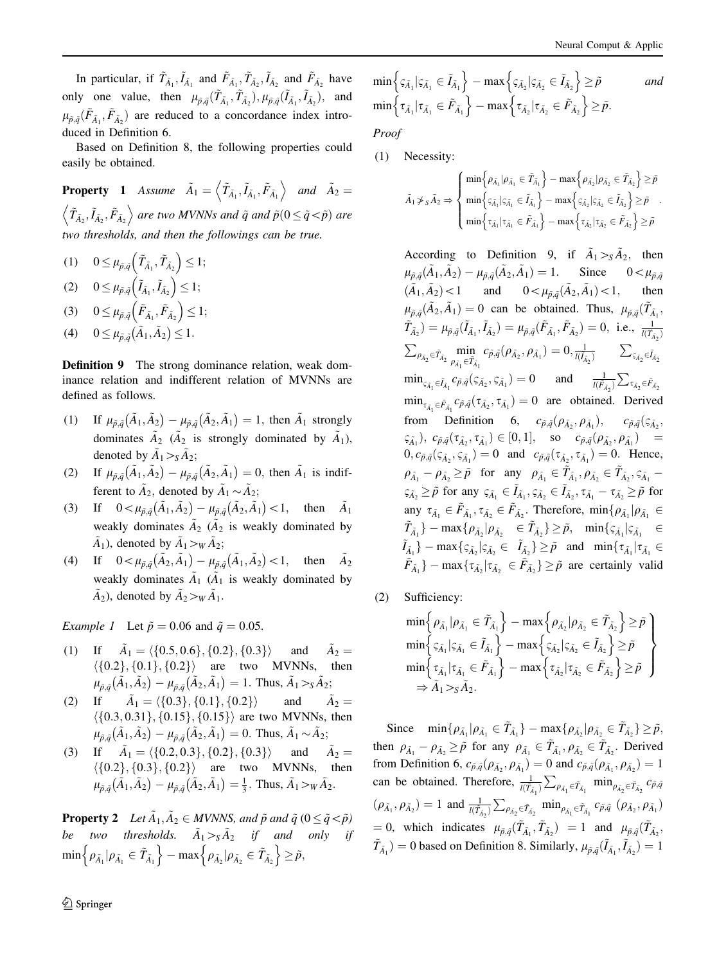In particular, if  $\tilde{T}_{\tilde{A}_1}, \tilde{I}_{\tilde{A}_1}$  and  $\tilde{F}_{\tilde{A}_1}, \tilde{T}_{\tilde{A}_2}, \tilde{I}_{\tilde{A}_2}$  and  $\tilde{F}_{\tilde{A}_2}$  have only one value, then  $\mu_{\tilde{p},\tilde{q}}(\tilde{T}_{\tilde{A}_1}, \tilde{T}_{\tilde{A}_2}), \mu_{\tilde{p},\tilde{q}}(\tilde{I}_{\tilde{A}_1}, \tilde{I}_{\tilde{A}_2}),$  and  $\mu_{\tilde{p},\tilde{q}}(\tilde{F}_{\tilde{A}_1},\tilde{F}_{\tilde{A}_2})$  are reduced to a concordance index introduced in Definition 6.

Based on Definition 8, the following properties could easily be obtained.

**Property** 1 Assume  $\tilde{A}_1 = \langle \tilde{T}_{\tilde{A}_1}, \tilde{I}_{\tilde{A}_1}, \tilde{F}_{\tilde{A}_1} \rangle$  and  $\tilde{A}_2 =$  $\langle \tilde{T}_{\tilde{A}_2}, \tilde{I}_{\tilde{A}_2}, \tilde{F}_{\tilde{A}_2} \rangle$  are two MVNNs and  $\tilde{q}$  and  $\tilde{p}(0 \leq \tilde{q} < \tilde{p})$  are two thresholds, and then the followings can be true.

- (1)  $0 \leq \mu_{\tilde{p},\tilde{q}}(\tilde{T}_{\tilde{A}_1}, \tilde{T}_{\tilde{A}_2}) \leq 1;$
- (2)  $0 \leq \mu_{\tilde{p},\tilde{q}}(\tilde{I}_{\tilde{A}_1}, \tilde{I}_{\tilde{A}_2}) \leq 1;$
- (3)  $0 \leq \mu_{\tilde{p},\tilde{q}}(\tilde{F}_{\tilde{A}_1}, \tilde{F}_{\tilde{A}_2}) \leq 1;$
- (4)  $0 \leq \mu_{\tilde{p},\tilde{q}}(\tilde{A}_1, \tilde{A}_2) \leq 1.$

Definition 9 The strong dominance relation, weak dominance relation and indifferent relation of MVNNs are defined as follows.

- (1) If  $\mu_{\tilde{p},\tilde{q}}(\tilde{A}_1,\tilde{A}_2) \mu_{\tilde{p},\tilde{q}}(\tilde{A}_2,\tilde{A}_1) = 1$ , then  $\tilde{A}_1$  strongly dominates  $\tilde{A}_2$  ( $\tilde{A}_2$  is strongly dominated by  $\tilde{A}_1$ ), denoted by  $\tilde{A}_1 >_{S} \tilde{A}_2$ ;
- (2) If  $\mu_{\tilde{p}, \tilde{q}}(\tilde{A}_1, \tilde{A}_2) \mu_{\tilde{p}, \tilde{q}}(\tilde{A}_2, \tilde{A}_1) = 0$ , then  $\tilde{A}_1$  is indifferent to  $A_2$ , denoted by  $A_1 \sim A_2$ ;
- (3) If  $0 < \mu_{\tilde{p},\tilde{q}}(\tilde{A}_1, \tilde{A}_2) \mu_{\tilde{p},\tilde{q}}(\tilde{A}_2, \tilde{A}_1) < 1$ , then  $\tilde{A}_1$ weakly dominates  $\tilde{A}_2$  ( $\tilde{A}_2$  is weakly dominated by  $\ddot{A}_1$ ), denoted by  $\ddot{A}_1 >_W \ddot{A}_2$ ;
- (4) If  $0 < \mu_{\tilde{p},\tilde{q}}(\tilde{A}_2, \tilde{A}_1) \mu_{\tilde{p},\tilde{q}}(\tilde{A}_1, \tilde{A}_2) < 1$ , then  $\tilde{A}_2$ weakly dominates  $\tilde{A}_1$  ( $\tilde{A}_1$  is weakly dominated by  $A_2$ ), denoted by  $A_2 >_{W} A_1$ .

*Example 1* Let  $\tilde{p} = 0.06$  and  $\tilde{q} = 0.05$ .

- (1) If  $\tilde{A}_1 = \langle \{0.5, 0.6\}, \{0.2\}, \{0.3\} \rangle$  and  $\tilde{A}_2 =$  $\langle \{0.2\}, \{0.1\}, \{0.2\} \rangle$  are two MVNNs, then  $\mu_{\tilde{p},\tilde{q}}(\tilde{A}_1,\tilde{A}_2) - \mu_{\tilde{p},\tilde{q}}(\tilde{A}_2,\tilde{A}_1) = 1$ . Thus,  $\tilde{A}_1 >_{S} \tilde{A}_2$ ;
- (2) If  $\tilde{A}_1 = \langle \{0.3\}, \{0.1\}, \{0.2\} \rangle$  and  $\tilde{A}_2 =$  $\langle \{0.3, 0.31\}, \{0.15\}, \{0.15\} \rangle$  are two MVNNs, then  $\mu_{\tilde{p},\tilde{q}}(\tilde{A}_1, \tilde{A}_2) - \mu_{\tilde{p},\tilde{q}}(\tilde{A}_2, \tilde{A}_1) = 0$ . Thus,  $\tilde{A}_1 \sim \tilde{A}_2$ ;
- (3) If  $\tilde{A}_1 = \langle \{0.2, 0.3\}, \{0.2\}, \{0.3\} \rangle$  and  $\tilde{A}_2 =$  $( {0.2}, {0.3}, {0.2} )$  are two MVNNs, then  $\mu_{\tilde{p},\tilde{q}}(\tilde{A}_1,\tilde{A}_2) - \mu_{\tilde{p},\tilde{q}}(\tilde{A}_2,\tilde{A}_1) = \frac{1}{3}$ . Thus,  $\tilde{A}_1 >_W \tilde{A}_2$ .

**Property 2** Let  $\tilde{A}_1, \tilde{A}_2 \in MVMNS$ , and  $\tilde{p}$  and  $\tilde{q}$   $(0 \leq \tilde{q} < \tilde{p})$ be two thresholds.  $\tilde{A}_1 >_{S} \tilde{A}_2$  if and only if  $\min\left\{\rho_{\tilde{A}_1}|\rho_{\tilde{A}_1}\in\tilde{T}_{\tilde{A}_1}\right\}-\max\left\{\rho_{\tilde{A}_2}|\rho_{\tilde{A}_2}\in\tilde{T}_{\tilde{A}_2}\right\}\geq\tilde{p},$ 

$$
\min \Big\{ \varsigma_{\tilde{A}_1} | \varsigma_{\tilde{A}_1} \in \tilde{I}_{\tilde{A}_1} \Big\} - \max \Big\{ \varsigma_{\tilde{A}_2} | \varsigma_{\tilde{A}_2} \in \tilde{I}_{\tilde{A}_2} \Big\} \ge \tilde{p} \qquad \text{and}
$$
  

$$
\min \Big\{ \tau_{\tilde{A}_1} | \tau_{\tilde{A}_1} \in \tilde{F}_{\tilde{A}_1} \Big\} - \max \Big\{ \tau_{\tilde{A}_2} | \tau_{\tilde{A}_2} \in \tilde{F}_{\tilde{A}_2} \Big\} \ge \tilde{p}.
$$

Proof

(1) Necessity:

$$
\tilde{A}_1 \not >_S \tilde{A}_2 \Rightarrow \left\{ \begin{aligned} &\min\Bigl\{ \rho_{\tilde{A}_1} | \rho_{\tilde{A}_1} \in \tilde{T}_{\tilde{A}_1} \Bigr\} - \max\Bigl\{ \rho_{\tilde{A}_2} | \rho_{\tilde{A}_2} \in \tilde{T}_{\tilde{A}_2} \Bigr\} \geq \tilde{\rho} \\ &\min\Bigl\{ \varsigma_{\tilde{A}_1} | \varsigma_{\tilde{A}_1} \in \tilde{I}_{\tilde{A}_1} \Bigr\} - \max\Bigl\{ \varsigma_{\tilde{A}_2} | \varsigma_{\tilde{A}_2} \in \tilde{I}_{\tilde{A}_2} \Bigr\} \geq \tilde{\rho} \\ &\min\Bigl\{ \tau_{\tilde{A}_1} | \tau_{\tilde{A}_1} \in \tilde{F}_{\tilde{A}_1} \Bigr\} - \max\Bigl\{ \tau_{\tilde{A}_2} | \tau_{\tilde{A}_2} \in \tilde{F}_{\tilde{A}_2} \Bigr\} \geq \tilde{\rho} \end{aligned} \right..
$$

According to Definition 9, if  $\tilde{A}_1 >_{S} \tilde{A}_2$ , then  $\mu_{\tilde{p},\tilde{q}}(\tilde{A}_1,\tilde{A}_2)-\mu_{\tilde{p},\tilde{q}}(\tilde{A}_2,\tilde{A}_1)=1.$  Since  $0<\mu_{\tilde{p},\tilde{q}}$  $(\tilde{A}_1, \tilde{A}_2)$  < 1 and  $0 < \mu_{\tilde{p},\tilde{d}}(\tilde{A}_2, \tilde{A}_1)$  < 1, then  $\mu_{\tilde{p},\tilde{q}}(\tilde{A}_2, \tilde{A}_1) = 0$  can be obtained. Thus,  $\mu_{\tilde{p},\tilde{q}}(\tilde{T}_{\tilde{A}_1},$  $\tilde{T}_{\tilde{A}_2})=\mu_{\tilde{p},\tilde{q}}(\tilde{I}_{\tilde{A}_1},\tilde{I}_{\tilde{A}_2})=\mu_{\tilde{p},\tilde{q}}(\tilde{F}_{\tilde{A}_1},\tilde{F}_{\tilde{A}_2})=0, \, \, \text{i.e.,}\, \, \frac{1}{l(\tilde{T}_{\tilde{A}_1})}$ A~ 2 P  $\rho_{\tilde{A_2}} \in \tilde{T}_{\tilde{A_2}}$  min  $\min_{\rho_{\tilde{A_1}} \in \tilde{T}_{\tilde{A_1}}} c_{\tilde{p},\tilde{q}}(\rho_{\tilde{A_2}},\rho_{\tilde{A_1}}) = 0, \frac{1}{l(\tilde{I}_{\tilde{A_2}})}$  $\overline{ }$  $\varsigma_{\tilde{A}_2} \in \tilde{I}_{\tilde{A}_2}$  $\min_{\varsigma_{\tilde{A}_1} \in \tilde{I}_{\tilde{A}_1}} c_{\tilde{p},\tilde{q}}(\varsigma_{\tilde{A}_2},\varsigma_{\tilde{A}_1}) = 0$  and  $\frac{1}{l(\tilde{F}_{\tilde{A}_2})}$  $\overline{ }$  $\tau_{\tilde{A}_2} \in \tilde{F}_{\tilde{A}_2}$  $min_{\tau_{\tilde{A}_1} \in \tilde{F}_{\tilde{A}_1}} c_{\tilde{p},\tilde{q}}(\tau_{\tilde{A}_2}, \tau_{\tilde{A}_1}) = 0$  are obtained. Derived from Definition 6,  $c_{\tilde{p},\tilde{q}}(\rho_{\tilde{A}_2},\rho_{\tilde{A}_1}),$   $c_{\tilde{p},\tilde{q}}(\varsigma_{\tilde{A}_2},\rho_{\tilde{A}_2})$  $\varsigma_{\tilde{A}_1}$ ),  $c_{\tilde{p},\tilde{q}}(\tau_{\tilde{A}_2},\tau_{\tilde{A}_1}) \in [0,1], \text{ so } c_{\tilde{p},\tilde{q}}(\rho_{\tilde{A}_2},\rho_{\tilde{A}_1}) =$  $0, c_{\tilde{p},\tilde{q}}(s_{\tilde{A}_2}, s_{\tilde{A}_1}) = 0$  and  $c_{\tilde{p},\tilde{q}}(\tau_{\tilde{A}_2}, \tau_{\tilde{A}_1}) = 0$ . Hence,  $\rho_{\tilde{A}_1} - \rho_{\tilde{A}_2} \geq \tilde{p}$  for any  $\rho_{\tilde{A}_1} \in \tilde{T}_{\tilde{A}_1}, \rho_{\tilde{A}_2} \in \tilde{T}_{\tilde{A}_2}, \varsigma_{\tilde{A}_1}$  $\varsigma_{\tilde{A}_2} \geq \tilde{p}$  for any  $\varsigma_{\tilde{A}_1} \in \tilde{I}_{\tilde{A}_1}, \varsigma_{\tilde{A}_2} \in \tilde{I}_{\tilde{A}_2}, \tau_{\tilde{A}_1} - \tau_{\tilde{A}_2} \geq \tilde{p}$  for any  $\tau_{\tilde{A}_1} \in \tilde{F}_{\tilde{A}_1}, \tau_{\tilde{A}_2} \in \tilde{F}_{\tilde{A}_2}$ . Therefore,  $\min\{\rho_{\tilde{A}_1} | \rho_{\tilde{A}_1} \in$  $\tilde{T}_{\tilde{A}_1}$ } – max $\{\rho_{\tilde{A}_2} | \rho_{\tilde{A}_2} \in \tilde{T}_{\tilde{A}_2}\} \geq \tilde{p}, \quad \min\{\varsigma_{\tilde{A}_1} | \varsigma_{\tilde{A}_1} \in$  $\tilde{I}_{\tilde{A}_1}$ } – max $\{ \varsigma_{\tilde{A}_2} | \varsigma_{\tilde{A}_2} \in \tilde{I}_{\tilde{A}_2} \} \geq \tilde{p}$  and  $\min \{ \tau_{\tilde{A}_1} | \tau_{\tilde{A}_1} \in$  $\tilde{F}_{\tilde{A}_1}$ } – max $\{\tau_{\tilde{A}_2} | \tau_{\tilde{A}_2} \in \tilde{F}_{\tilde{A}_2}\} \geq \tilde{p}$  are certainly valid

(2) Sufficiency:

$$
\min \left\{ \rho_{\tilde{A}_1} | \rho_{\tilde{A}_1} \in \tilde{T}_{\tilde{A}_1} \right\} - \max \left\{ \rho_{\tilde{A}_2} | \rho_{\tilde{A}_2} \in \tilde{T}_{\tilde{A}_2} \right\} \ge \tilde{p}
$$
\n
$$
\min \left\{ \varsigma_{\tilde{A}_1} | \varsigma_{\tilde{A}_1} \in \tilde{I}_{\tilde{A}_1} \right\} - \max \left\{ \varsigma_{\tilde{A}_2} | \varsigma_{\tilde{A}_2} \in \tilde{I}_{\tilde{A}_2} \right\} \ge \tilde{p}
$$
\n
$$
\min \left\{ \tau_{\tilde{A}_1} | \tau_{\tilde{A}_1} \in \tilde{F}_{\tilde{A}_1} \right\} - \max \left\{ \tau_{\tilde{A}_2} | \tau_{\tilde{A}_2} \in \tilde{F}_{\tilde{A}_2} \right\} \ge \tilde{p}
$$
\n
$$
\Rightarrow \tilde{A}_1 >_S \tilde{A}_2.
$$

Since  $\min\{\rho_{\tilde{A}_1} | \rho_{\tilde{A}_1} \in \tilde{T}_{\tilde{A}_1}\} - \max\{\rho_{\tilde{A}_2} | \rho_{\tilde{A}_2} \in \tilde{T}_{\tilde{A}_2}\} \ge \tilde{p},$ then  $\rho_{\tilde{A}_1} - \rho_{\tilde{A}_2} \geq \tilde{p}$  for any  $\rho_{\tilde{A}_1} \in \tilde{T}_{\tilde{A}_1}, \rho_{\tilde{A}_2} \in \tilde{T}_{\tilde{A}_2}$ . Derived from Definition 6,  $c_{\tilde{p},\tilde{q}}(\rho_{\tilde{A}_2}, \rho_{\tilde{A}_1}) = 0$  and  $c_{\tilde{p},\tilde{q}}(\rho_{\tilde{A}_1}, \rho_{\tilde{A}_2}) = 1$ can be obtained. Therefore,  $\frac{1}{l(\tilde{T}_{\tilde{A}_1})}$  $\overline{ }$  $\lim_{\rho_{\tilde{A}_1}\in \tilde{T}_{\tilde{A}_1}}\ \min_{\rho_{\tilde{A}_2}\in \tilde{T}_{\tilde{A}_2}}\,c_{\tilde{p},\tilde{q}}$  $(\rho_{\tilde{A}_1}, \rho_{\tilde{A}_2}) = 1$  and  $\frac{1}{l(\tilde{T}_{\tilde{A}_2})}$  $\overline{ }$  $\int_{\rho_{\tilde{A}_2} \in \tilde{T}_{\tilde{A}_2}} \min_{\rho_{\tilde{A}_1} \in \tilde{T}_{\tilde{A}_1}} c_{\tilde{p},\tilde{q}} \; (\rho_{\tilde{A}_2},\rho_{\tilde{A}_1})$ = 0, which indicates  $\mu_{\tilde{p}, \tilde{q}}(\tilde{T}_{\tilde{A}_1}, \tilde{T}_{\tilde{A}_2}) = 1$  and  $\mu_{\tilde{p}, \tilde{q}}(\tilde{T}_{\tilde{A}_2}, \tilde{T}_{\tilde{A}_2})$  $\tilde{T}_{\tilde{A}_1}$ ) = 0 based on Definition 8. Similarly,  $\mu_{\tilde{p},\tilde{q}}(\tilde{I}_{\tilde{A}_1}, \tilde{I}_{\tilde{A}_2}) = 1$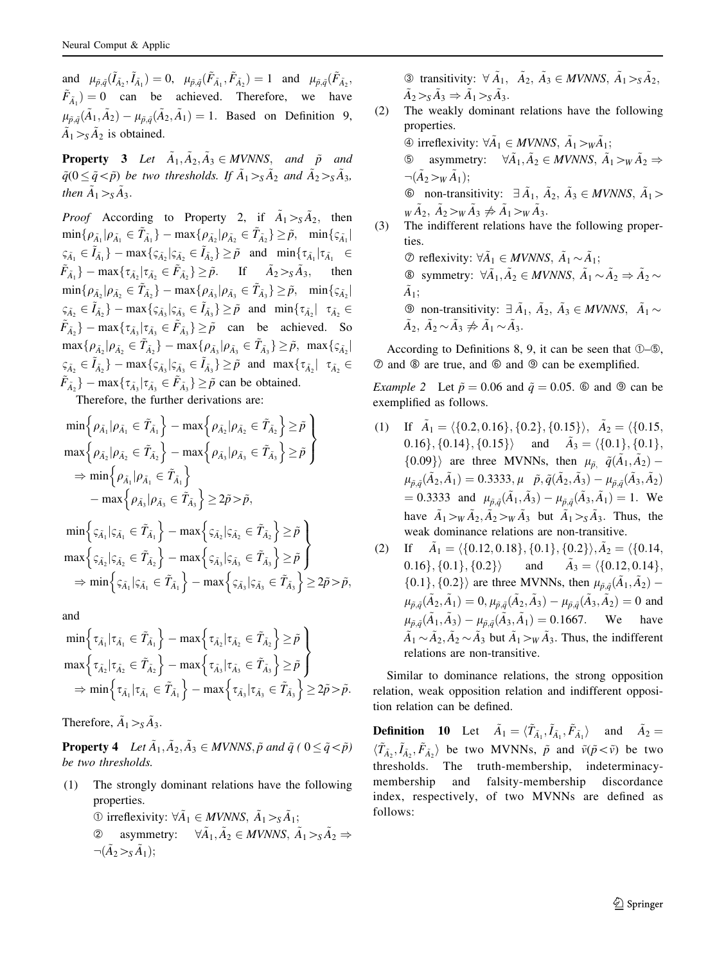and  $\mu_{\tilde{p},\tilde{q}}(\tilde{I}_{\tilde{A}_2}, \tilde{I}_{\tilde{A}_1}) = 0$ ,  $\mu_{\tilde{p},\tilde{q}}(\tilde{F}_{\tilde{A}_1}, \tilde{F}_{\tilde{A}_2}) = 1$  and  $\mu_{\tilde{p},\tilde{q}}(\tilde{F}_{\tilde{A}_2}, \tilde{I}_{\tilde{A}_2})$  $\tilde{F}_{\tilde{A}_1}$  = 0 can be achieved. Therefore, we have  $\mu_{\tilde{p},\tilde{q}}(\tilde{A}_1,\tilde{A}_2)-\mu_{\tilde{p},\tilde{q}}(\tilde{A}_2,\tilde{A}_1)=1$ . Based on Definition 9,  $\tilde{A}_1 >_{S} \tilde{A}_2$  is obtained.

**Property 3** Let  $\tilde{A}_1, \tilde{A}_2, \tilde{A}_3 \in MVNNS$ , and  $\tilde{p}$  and  $\tilde{q}(0 \leq \tilde{q} < \tilde{p})$  be two thresholds. If  $\tilde{A}_1 >_{S} \tilde{A}_2$  and  $\tilde{A}_2 >_{S} \tilde{A}_3$ , then  $\tilde{A}_1 >_{S} \tilde{A}_3$ .

*Proof* According to Property 2, if  $\tilde{A}_1 >_{S} \tilde{A}_2$ , then  $\min\{\rho_{\tilde{A}_1}|\rho_{\tilde{A}_1}\in \tilde{T}_{\tilde{A}_1}\}-\max\{\rho_{\tilde{A}_2}|\rho_{\tilde{A}_2}\in \tilde{T}_{\tilde{A}_2}\}\geq \tilde{p},\quad \min\{\varsigma_{\tilde{A}_1}|\}$  $\varsigma_{\tilde{A}_1} \in \tilde{I}_{\tilde{A}_1}$  -  $\max\{\varsigma_{\tilde{A}_2} | \varsigma_{\tilde{A}_2} \in \tilde{I}_{\tilde{A}_2}\}\geq \tilde{p}$  and  $\min\{\tau_{\tilde{A}_1} | \tau_{\tilde{A}_1} \in$  $\tilde{F}_{\tilde{A}_1}$ } – max $\{\tau_{\tilde{A}_2} | \tau_{\tilde{A}_2} \in \tilde{F}_{\tilde{A}_2}\}\geq \tilde{p}$ . If  $\tilde{A}_2 >_{S} \tilde{A}_3$ , then  $\min\{\rho_{\tilde{A}_2}|\rho_{\tilde{A}_2}\in \tilde{T}_{\tilde{A}_2}\}-\max\{\rho_{\tilde{A}_3}|\rho_{\tilde{A}_3}\in \tilde{T}_{\tilde{A}_3}\}\geq \tilde{p},\quad \min\{\varsigma_{\tilde{A}_2}|\}$  $\varsigma_{\tilde{A}_2} \in \tilde{I}_{\tilde{A}_2}$  -  $\max\{\varsigma_{\tilde{A}_3} | \varsigma_{\tilde{A}_3} \in \tilde{I}_{\tilde{A}_3}\}\geq \tilde{p}$  and  $\min\{\tau_{\tilde{A}_2} | \tau_{\tilde{A}_2} \in$  $\tilde{F}_{\tilde{A}_2}$ } – max $\{\tau_{\tilde{A}_3} | \tau_{\tilde{A}_3} \in \tilde{F}_{\tilde{A}_3}\} \geq \tilde{p}$  can be achieved. So  $\max\{\rho_{\tilde{A}_2}|\rho_{\tilde{A}_2}\in \tilde{T}_{\tilde{A}_2}\}-\max\{\rho_{\tilde{A}_3}|\rho_{\tilde{A}_3}\in \tilde{T}_{\tilde{A}_3}\}\geq \tilde{p},\ \ \max\{\varsigma_{\tilde{A}_2}|\}$  $\varsigma_{\tilde{A}_2} \in \tilde{I}_{\tilde{A}_2}$  -  $\max\{\varsigma_{\tilde{A}_3} | \varsigma_{\tilde{A}_3} \in \tilde{I}_{\tilde{A}_3}\}\geq \tilde{p}$  and  $\max\{\tau_{\tilde{A}_2} | \tau_{\tilde{A}_2} \in$  $\tilde{F}_{\tilde{A}_2}$ } – max $\{\tau_{\tilde{A}_3} | \tau_{\tilde{A}_3} \in \tilde{F}_{\tilde{A}_3}\} \geq \tilde{p}$  can be obtained.

Therefore, the further derivations are:

$$
\min \Big\{ \rho_{\tilde{A}_1} | \rho_{\tilde{A}_1} \in \tilde{T}_{\tilde{A}_1} \Big\} - \max \Big\{ \rho_{\tilde{A}_2} | \rho_{\tilde{A}_2} \in \tilde{T}_{\tilde{A}_2} \Big\} \ge \tilde{p} \Big\}
$$
\n
$$
\max \Big\{ \rho_{\tilde{A}_2} | \rho_{\tilde{A}_2} \in \tilde{T}_{\tilde{A}_2} \Big\} - \max \Big\{ \rho_{\tilde{A}_3} | \rho_{\tilde{A}_3} \in \tilde{T}_{\tilde{A}_3} \Big\} \ge \tilde{p} \Big\}
$$
\n
$$
\Rightarrow \min \Big\{ \rho_{\tilde{A}_1} | \rho_{\tilde{A}_1} \in \tilde{T}_{\tilde{A}_1} \Big\}
$$
\n
$$
- \max \Big\{ \rho_{\tilde{A}_3} | \rho_{\tilde{A}_3} \in \tilde{T}_{\tilde{A}_3} \Big\} \ge 2\tilde{p} > \tilde{p},
$$

$$
\begin{aligned} &\min\Bigl\{\varsigma_{\tilde{A}_1}|\varsigma_{\tilde{A}_1}\in\tilde{T}_{\tilde{A}_1}\Bigr\}-\max\Bigl\{\varsigma_{\tilde{A}_2}|\varsigma_{\tilde{A}_2}\in\tilde{T}_{\tilde{A}_2}\Bigr\}\geq\tilde{p}\\ &\max\Bigl\{\varsigma_{\tilde{A}_2}|\varsigma_{\tilde{A}_2}\in\tilde{T}_{\tilde{A}_2}\Bigr\}-\max\Bigl\{\varsigma_{\tilde{A}_3}|\varsigma_{\tilde{A}_3}\in\tilde{T}_{\tilde{A}_3}\Bigr\}\geq\tilde{p}\\ &\Rightarrow\min\Bigl\{\varsigma_{\tilde{A}_1}|\varsigma_{\tilde{A}_1}\in\tilde{T}_{\tilde{A}_1}\Bigr\}-\max\Bigl\{\varsigma_{\tilde{A}_3}|\varsigma_{\tilde{A}_3}\in\tilde{T}_{\tilde{A}_3}\Bigr\}\geq2\tilde{p}>\tilde{p}, \end{aligned}
$$

and

$$
\min \Big\{ \tau_{\tilde{A}_1} | \tau_{\tilde{A}_1} \in \tilde{T}_{\tilde{A}_1} \Big\} - \max \Big\{ \tau_{\tilde{A}_2} | \tau_{\tilde{A}_2} \in \tilde{T}_{\tilde{A}_2} \Big\} \geq \tilde{p} \Big\}
$$
\n
$$
\max \Big\{ \tau_{\tilde{A}_2} | \tau_{\tilde{A}_2} \in \tilde{T}_{\tilde{A}_2} \Big\} - \max \Big\{ \tau_{\tilde{A}_3} | \tau_{\tilde{A}_3} \in \tilde{T}_{\tilde{A}_3} \Big\} \geq \tilde{p} \Big\}
$$
\n
$$
\Rightarrow \min \Big\{ \tau_{\tilde{A}_1} | \tau_{\tilde{A}_1} \in \tilde{T}_{\tilde{A}_1} \Big\} - \max \Big\{ \tau_{\tilde{A}_3} | \tau_{\tilde{A}_3} \in \tilde{T}_{\tilde{A}_3} \Big\} \geq 2\tilde{p} > \tilde{p}.
$$

Therefore,  $\tilde{A}_1 >_{S} \tilde{A}_3$ .

**Property 4** Let  $\tilde{A}_1, \tilde{A}_2, \tilde{A}_3 \in MVNNS$ ,  $\tilde{p}$  and  $\tilde{q}$  (  $0 \leq \tilde{q} < \tilde{p}$ ) be two thresholds.

- (1) The strongly dominant relations have the following properties.
	- $\circledR$  irreflexivity:  $\forall \tilde{A}_1 \in MVNNS$ ,  $\tilde{A}_1 >_{S} \tilde{A}_1$ ; 2 asymmetry:  $\forall \tilde{A}_1, \tilde{A}_2 \in MVNNS, \tilde{A}_1 >_{S} \tilde{A}_2 \Rightarrow$  $\neg (\tilde{A}_2 >_{\mathcal{S}} \tilde{A}_1);$

**3** transitivity:  $\forall \tilde{A}_1, \tilde{A}_2, \tilde{A}_3 \in MVNNS, \tilde{A}_1 >_{S} \tilde{A}_2$  $\tilde{A}_2 >_{\mathcal{S}} \tilde{A}_3 \Rightarrow \tilde{A}_1 >_{\mathcal{S}} \tilde{A}_3.$ 

(2) The weakly dominant relations have the following properties.  $\circledA$  irreflexivity:  $\forall \tilde{A}_1 \in MVNNS, \ \tilde{A}_1 >_W \tilde{A}_1;$ asymmetry:  $\forall \tilde{A}_1, \tilde{A}_2 \in MVNNS, \tilde{A}_1 >_W \tilde{A}_2 \Rightarrow$  $\neg (A_2 >_W A_1);$  $\Phi$  non-transitivity:  $\exists \tilde{A}_1, \tilde{A}_2, \tilde{A}_3 \in MVNNS, \tilde{A}_1>$  $W \tilde{A}_2$ ,  $\tilde{A}_2 >_W \tilde{A}_3 \neq \tilde{A}_1 >_W \tilde{A}_3$ . (3) The indifferent relations have the following properties.

 $\overline{Q}$  reflexivity:  $\forall \tilde{A}_1 \in MVNNS, \ \tilde{A}_1 \sim \tilde{A}_1;$ **(8)** symmetry:  $\forall \tilde{A}_1, \tilde{A}_2 \in MVNNS, \ \tilde{A}_1 \sim \tilde{A}_2 \Rightarrow \tilde{A}_2 \sim$  $\tilde{A}_1$ ;  $\circledcirc$  non-transitivity:  $\exists \tilde{A}_1, \tilde{A}_2, \tilde{A}_3 \in MVNNS, \tilde{A}_1 \sim$  $\tilde{A}_2$ ,  $\tilde{A}_2 \sim \tilde{A}_3 \neq \tilde{A}_1 \sim \tilde{A}_3$ .

According to Definitions 8, 9, it can be seen that  $(1)$ - $(5)$ ,  $\oslash$  and  $\oslash$  are true, and  $\oslash$  and  $\oslash$  can be exemplified.

*Example 2* Let  $\tilde{p} = 0.06$  and  $\tilde{q} = 0.05$ .  $\textcircled{e}$  and  $\textcircled{e}$  can be exemplified as follows.

- (1) If  $\tilde{A}_1 = \langle \{0.2, 0.16\}, \{0.2\}, \{0.15\} \rangle$ ,  $\tilde{A}_2 = \langle \{0.15,$ 0.16, {0.14}, {0.15} and  $\tilde{A}_3 = \langle \{0.1\}, \{0.1\},\$  $\{0.09\}\rangle$  are three MVNNs, then  $\mu_{\tilde{p}}$ ,  $\tilde{q}(\tilde{A}_1, \tilde{A}_2)$  –  $\mu_{\tilde{p},\tilde{q}}(\tilde{A}_2,\tilde{A}_1)=0.3333, \mu \bar{p}, \tilde{q}(\tilde{A}_2,\tilde{A}_3)-\mu_{\tilde{p},\tilde{q}}(\tilde{A}_3,\tilde{A}_2)$  $= 0.3333$  and  $\mu_{\tilde{p},\tilde{q}}(\tilde{A}_1,\tilde{A}_3) - \mu_{\tilde{p},\tilde{q}}(\tilde{A}_3,\tilde{A}_1) = 1$ . We have  $\tilde{A}_1 >_W \tilde{A}_2, \tilde{A}_2 >_W \tilde{A}_3$  but  $\tilde{A}_1 >_S \tilde{A}_3$ . Thus, the weak dominance relations are non-transitive.
- (2) If  $\tilde{A}_1 = \langle \{0.12, 0.18\}, \{0.1\}, \{0.2\} \rangle, \tilde{A}_2 = \langle \{0.14,$ 0.16, {0.1}, {0.2} and  $\tilde{A}_3 = \langle \{0.12, 0.14\},\$  $\{0.1\}, \{0.2\}\}\)$  are three MVNNs, then  $\mu_{\tilde{p},\tilde{q}}(\tilde{A}_1, \tilde{A}_2)$  –  $\mu_{\tilde{\rho},\tilde{q}}(\tilde{A}_2,\tilde{A}_1)=0, \mu_{\tilde{\rho},\tilde{q}}(\tilde{A}_2,\tilde{A}_3)-\mu_{\tilde{\rho},\tilde{q}}(\tilde{A}_3,\tilde{A}_2)=0$  and  $\mu_{\tilde{p},\tilde{q}}(\tilde{A}_1,\tilde{A}_3)-\mu_{\tilde{p},\tilde{q}}(\tilde{A}_3,\tilde{A}_1)=0.1667.$  We have  $\tilde{A}_1 \sim \tilde{A}_2, \tilde{A}_2 \sim \tilde{A}_3$  but  $\tilde{A}_1 >_W \tilde{A}_3$ . Thus, the indifferent relations are non-transitive.

Similar to dominance relations, the strong opposition relation, weak opposition relation and indifferent opposition relation can be defined.

**Definition** 10 Let  $\tilde{A}_1 = \langle \tilde{T}_{\tilde{A}_1}, \tilde{I}_{\tilde{A}_1}, \tilde{F}_{\tilde{A}_1} \rangle$  and  $\tilde{A}_2 =$  $\langle \tilde{T}_{\tilde{A}_2}, \tilde{I}_{\tilde{A}_2}, \tilde{F}_{\tilde{A}_2} \rangle$  be two MVNNs,  $\tilde{p}$  and  $\tilde{v}(\tilde{p} < \tilde{v})$  be two thresholds. The truth-membership, indeterminacymembership and falsity-membership discordance index, respectively, of two MVNNs are defined as follows: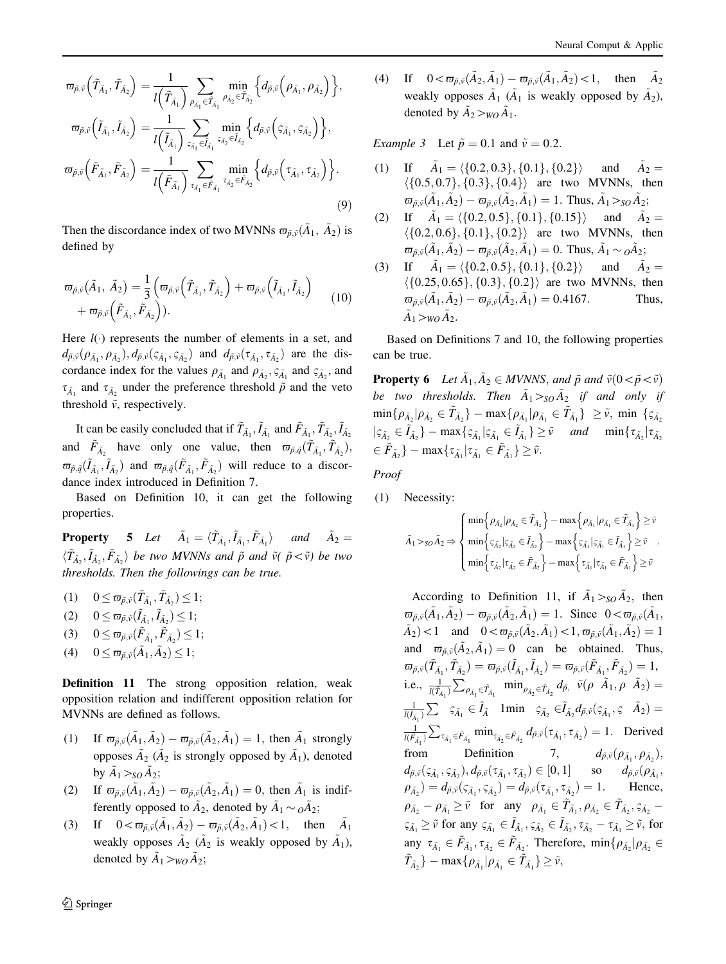$$
\varpi_{\tilde{\rho},\tilde{v}}\left(\tilde{T}_{\tilde{A}_1},\tilde{T}_{\tilde{A}_2}\right) = \frac{1}{l\left(\tilde{T}_{\tilde{A}_1}\right)} \sum_{\rho_{\tilde{A}_1} \in \tilde{T}_{\tilde{A}_1}} \min_{\rho_{\tilde{A}_2} \in \tilde{T}_{\tilde{A}_2}} \left\{ d_{\tilde{\rho},\tilde{v}}\left(\rho_{\tilde{A}_1},\rho_{\tilde{A}_2}\right) \right\},
$$
\n
$$
\varpi_{\tilde{\rho},\tilde{v}}\left(\tilde{I}_{\tilde{A}_1},\tilde{I}_{\tilde{A}_2}\right) = \frac{1}{l\left(\tilde{I}_{\tilde{A}_1}\right)} \sum_{\varsigma_{\tilde{A}_1} \in \tilde{I}_{\tilde{A}_1}} \min_{\varsigma_{\tilde{A}_2} \in \tilde{I}_{\tilde{A}_2}} \left\{ d_{\tilde{\rho},\tilde{v}}\left(\varsigma_{\tilde{A}_1},\varsigma_{\tilde{A}_2}\right) \right\},
$$
\n
$$
\varpi_{\tilde{\rho},\tilde{v}}\left(\tilde{F}_{\tilde{A}_1},\tilde{F}_{\tilde{A}_2}\right) = \frac{1}{l\left(\tilde{F}_{\tilde{A}_1}\right)} \sum_{\tau_{\tilde{A}_1} \in \tilde{F}_{\tilde{A}_1}} \min_{\tau_{\tilde{A}_2} \in \tilde{F}_{\tilde{A}_2}} \left\{ d_{\tilde{\rho},\tilde{v}}\left(\tau_{\tilde{A}_1},\tau_{\tilde{A}_2}\right) \right\}.
$$
\n(9)

Then the discordance index of two MVNNs  $\overline{\omega}_{\tilde{\rho}, \tilde{v}}(\tilde{A}_1, \tilde{A}_2)$  is defined by

$$
\varpi_{\tilde{\rho},\tilde{v}}(\tilde{A}_1, \tilde{A}_2) = \frac{1}{3} \left( \varpi_{\tilde{\rho},\tilde{v}} \left( \tilde{T}_{\tilde{A}_1}, \tilde{T}_{\tilde{A}_2} \right) + \varpi_{\tilde{\rho},\tilde{v}} \left( \tilde{I}_{\tilde{A}_1}, \tilde{I}_{\tilde{A}_2} \right) \right) + \varpi_{\tilde{\rho},\tilde{v}} \left( \tilde{F}_{\tilde{A}_1}, \tilde{F}_{\tilde{A}_2} \right).
$$
\n(10)

Here  $l(\cdot)$  represents the number of elements in a set, and  $d_{\tilde{p},\tilde{v}}(\rho_{\tilde{A}_1},\rho_{\tilde{A}_2}), d_{\tilde{p},\tilde{v}}(\varsigma_{\tilde{A}_1},\varsigma_{\tilde{A}_2})$  and  $d_{\tilde{p},\tilde{v}}(\tau_{\tilde{A}_1},\tau_{\tilde{A}_2})$  are the discordance index for the values  $\rho_{\tilde{A}_1}$  and  $\rho_{\tilde{A}_2}$ ,  $\varsigma_{\tilde{A}_1}$  and  $\varsigma_{\tilde{A}_2}$ , and  $\tau_{\tilde{A}_1}$  and  $\tau_{\tilde{A}_2}$  under the preference threshold  $\tilde{p}$  and the veto threshold  $\tilde{v}$ , respectively.

It can be easily concluded that if  $\tilde{T}_{\tilde{A}_1}, \tilde{I}_{\tilde{A}_1}$  and  $\tilde{F}_{\tilde{A}_1}, \tilde{T}_{\tilde{A}_2}, \tilde{I}_{\tilde{A}_2}$ and  $\tilde{F}_{\tilde{A}_2}$  have only one value, then  $\varpi_{\tilde{p},\tilde{q}}(\tilde{T}_{\tilde{A}_1}, \tilde{T}_{\tilde{A}_2}),$  $\overline{\omega}_{\tilde{p},\tilde{q}}(\tilde{I}_{\tilde{A}_1},\tilde{I}_{\tilde{A}_2})$  and  $\overline{\omega}_{\tilde{p},\tilde{q}}(\tilde{F}_{\tilde{A}_1},\tilde{F}_{\tilde{A}_2})$  will reduce to a discordance index introduced in Definition 7.

Based on Definition 10, it can get the following properties.

**Property** 5 Let  $\tilde{A}_1 = \langle \tilde{T}_{\tilde{A}_1}, \tilde{I}_{\tilde{A}_1}, \tilde{F}_{\tilde{A}_1} \rangle$  and  $\tilde{A}_2 =$  $\langle \tilde{T}_{\tilde{A}_2}, \tilde{I}_{\tilde{A}_2}, \tilde{F}_{\tilde{A}_2} \rangle$  be two MVNNs and  $\tilde{p}$  and  $\tilde{v}$ ( $\tilde{p} < \tilde{v}$ ) be two thresholds. Then the followings can be true.

- (1)  $0 \leq \overline{\omega}_{\tilde{p},\tilde{v}}(\tilde{T}_{\tilde{A}_1}, \tilde{T}_{\tilde{A}_2}) \leq 1;$
- (2)  $0 \le \overline{\omega}_{\tilde{p}, \tilde{v}}(\tilde{I}_{\tilde{A}_1}, \tilde{I}_{\tilde{A}_2}) \le 1;$
- (3)  $0 \leq \overline{\omega}_{\tilde{p}, \tilde{v}}(\tilde{F}_{\tilde{A}_1}, \tilde{F}_{\tilde{A}_2}) \leq 1;$
- (4)  $0 \leq \overline{\omega}_{\tilde{n}\tilde{v}}(\tilde{A}_1, \tilde{A}_2) \leq 1;$

Definition 11 The strong opposition relation, weak opposition relation and indifferent opposition relation for MVNNs are defined as follows.

- (1) If  $\overline{\omega}_{\tilde{p},\tilde{v}}(\tilde{A}_1,\tilde{A}_2)-\overline{\omega}_{\tilde{p},\tilde{v}}(\tilde{A}_2,\tilde{A}_1)=1$ , then  $\tilde{A}_1$  strongly opposes  $\tilde{A}_2$  ( $\tilde{A}_2$  is strongly opposed by  $\tilde{A}_1$ ), denoted by  $\tilde{A}_1 >_{SO} \tilde{A}_2$ ;
- (2) If  $\overline{\sigma}_{\tilde{p},\tilde{v}}(\tilde{A}_1,\tilde{A}_2)-\overline{\sigma}_{\tilde{p},\tilde{v}}(\tilde{A}_2,\tilde{A}_1)=0$ , then  $\tilde{A}_1$  is indifferently opposed to  $\tilde{A}_2$ , denoted by  $\tilde{A}_1 \sim \tilde{A}_2$ ;
- (3) If  $0<\overline{\omega}_{\tilde{\rho},\tilde{v}}(\tilde{A}_1,\tilde{A}_2)-\overline{\omega}_{\tilde{\rho},\tilde{v}}(\tilde{A}_2,\tilde{A}_1)<1$ , then  $\tilde{A}_1$ weakly opposes  $\tilde{A}_2$  ( $\tilde{A}_2$  is weakly opposed by  $\tilde{A}_1$ ), denoted by  $A_1 >_{W_O} A_2$ ;
- $\textcircled{2}$  Springer

(4) If  $0<\overline{\omega}_{\tilde{p},\tilde{v}}(\tilde{A}_2,\tilde{A}_1)-\overline{\omega}_{\tilde{p},\tilde{v}}(\tilde{A}_1,\tilde{A}_2)\lt1$ , then  $\tilde{A}_2$ weakly opposes  $\tilde{A}_1$  ( $\tilde{A}_1$  is weakly opposed by  $\tilde{A}_2$ ), denoted by  $A_2 >_{WO} A_1$ .

*Example 3* Let  $\tilde{p} = 0.1$  and  $\tilde{v} = 0.2$ .

- (1) If  $\tilde{A}_1 = \langle \{0.2, 0.3\}, \{0.1\}, \{0.2\} \rangle$  and  $\tilde{A}_2 =$  $(0.5, 0.7], \{0.3\}, \{0.4\}$  are two MVNNs, then  $\overline{\omega}_{\tilde{n}, \tilde{v}}(\tilde{A}_1, \tilde{A}_2) - \overline{\omega}_{\tilde{n}, \tilde{v}}(\tilde{A}_2, \tilde{A}_1) = 1$ . Thus,  $\tilde{A}_1 >_{SO} A_2$ ;
- (2) If  $\tilde{A}_1 = \langle \{0.2, 0.5\}, \{0.1\}, \{0.15\} \rangle$  and  $\tilde{A}_2 =$  $($ {0.2, 0.6}, {0.1}, {0.2}} are two MVNNs, then  $\overline{\omega}_{\tilde{p}, \tilde{y}}(\tilde{A}_1, \tilde{A}_2) - \overline{\omega}_{\tilde{p}, \tilde{y}}(\tilde{A}_2, \tilde{A}_1) = 0$ . Thus,  $\tilde{A}_1 \sim \tilde{A}_2$ ;
- (3) If  $\tilde{A}_1 = \langle \{0.2, 0.5\}, \{0.1\}, \{0.2\} \rangle$  and  $\tilde{A}_2 =$  $($ {0.25, 0.65}, {0.3}, {0.2}} are two MVNNs, then  $\overline{\omega}_{\tilde{p}, \tilde{y}}(\tilde{A}_1, \tilde{A}_2) - \overline{\omega}_{\tilde{p}, \tilde{y}}(\tilde{A}_2, \tilde{A}_1) = 0.4167.$  Thus,  $\tilde{A}_1 >_{W\Omega} \tilde{A}_2$ .

Based on Definitions 7 and 10, the following properties can be true.

**Property 6** Let  $\tilde{A}_1, \tilde{A}_2 \in MVNNS$ , and  $\tilde{p}$  and  $\tilde{v}(0<\tilde{p}<\tilde{v})$ be two thresholds. Then  $\tilde{A}_1 >_{SO} \tilde{A}_2$  if and only if  $\min\{\rho_{\tilde{A}_2}|\rho_{\tilde{A}_2}\in \tilde{T}_{\tilde{A}_2}\}-\max\{\rho_{\tilde{A}_1}|\rho_{\tilde{A}_1}\in \tilde{T}_{\tilde{A}_1}\}\geq \tilde{\nu},\ \min\ \{\varsigma_{\tilde{A}_2}$  $|\varsigma_{\tilde{A}_2} \in \tilde{I}_{\tilde{A}_2}\}-\max\{\varsigma_{\tilde{A}_1}|\varsigma_{\tilde{A}_1} \in \tilde{I}_{\tilde{A}_1}\}\geq \tilde{\nu} \quad \text{and} \quad \min\{\tau_{\tilde{A}_2}|\tau_{\tilde{A}_2}\}$  $\{ \in \widetilde{F}_{\tilde{A}_2} \}$  – max $\{ \tau_{\tilde{A}_1} | \tau_{\tilde{A}_1} \in \widetilde{F}_{\tilde{A}_1} \} \ge \tilde{\nu}.$ 

Proof

(1) Necessity:

$$
\tilde{A}_1 \hspace{-0.5mm} >_{SO} \tilde{A}_2 \Rightarrow \left\{ \begin{aligned} &\min \Bigl\{ \rho_{\tilde{A}_2} | \rho_{\tilde{A}_2} \in \tilde{T}_{\tilde{A}_2} \Bigr\} - \max \Bigl\{ \rho_{\tilde{A}_1} | \rho_{\tilde{A}_1} \in \tilde{T}_{\tilde{A}_1} \Bigr\} \geq \tilde{\nu} \\ &\min \Bigl\{ \varsigma_{\tilde{A}_2} | \varsigma_{\tilde{A}_2} \in \tilde{I}_{\tilde{A}_2} \Bigr\} - \max \Bigl\{ \varsigma_{\tilde{A}_1} | \varsigma_{\tilde{A}_1} \in \tilde{I}_{\tilde{A}_1} \Bigr\} \geq \tilde{\nu} \\ &\min \Bigl\{ \tau_{\tilde{A}_2} | \tau_{\tilde{A}_2} \in \tilde{F}_{\tilde{A}_2} \Bigr\} - \max \Bigl\{ \tau_{\tilde{A}_1} | \tau_{\tilde{A}_1} \in \tilde{F}_{\tilde{A}_1} \Bigr\} \geq \tilde{\nu} \end{aligned} \right. .
$$

According to Definition 11, if  $A_1 >_{SO} A_2$ , then  $\overline{\omega}_{\tilde{n}, \tilde{v}}(\tilde{A}_1, \tilde{A}_2) - \overline{\omega}_{\tilde{n}, \tilde{v}}(\tilde{A}_2, \tilde{A}_1) = 1$ . Since  $0 \lt \overline{\omega}_{\tilde{n}, \tilde{v}}(\tilde{A}_1, \tilde{A}_2)$  $(\tilde{A}_2)$  and  $0<\varpi_{\tilde{p},\tilde{v}}(\tilde{A}_2,\tilde{A}_1)$   $<$  1,  $\varpi_{\tilde{p},\tilde{v}}(\tilde{A}_1,\tilde{A}_2)=1$ and  $\overline{\omega}_{\tilde{n},\tilde{v}}(\tilde{A}_2,\tilde{A}_1)=0$  can be obtained. Thus,  $\varpi_{\tilde{\rho},\tilde{v}}(\tilde{T}_{\tilde{A}_1},\tilde{T}_{\tilde{A}_2})=\varpi_{\tilde{\rho},\tilde{v}}(\tilde{I}_{\tilde{A}_1},\tilde{I}_{\tilde{A}_2})=\varpi_{\tilde{\rho},\tilde{v}}(\tilde{F}_{\tilde{A}_1},\tilde{F}_{\tilde{A}_2})=1,$ i.e.,  $\frac{1}{l(\tilde{T}_{\tilde{A}_1})}$  $\tilde{\mathcal{P}}$  $\rho_{\tilde{A_1}} \in \tilde{T}_{\tilde{A_1}} \quad \min_{\rho_{\tilde{A_2}} \in \tilde{T}_{\tilde{A_2}}} d_{\tilde{p},\quad \tilde{\nu}(\rho \quad \tilde{A}_1, \rho \quad \tilde{A}_2) =$  $\frac{1}{l(\tilde{l}_{\tilde{A}_1})}\sum \Bigg[\varsigma_{\tilde{A}_1}\in \tilde{I}_{\tilde{A}} \quad 1 \text{min} \quad \varsigma_{\tilde{A}_2}\in \tilde{I}_{\tilde{A}_2}d_{\tilde{p},\tilde{v}}(\varsigma_{\tilde{A}_1},\varsigma \quad \tilde{A}_2) =$ 1  $\frac{1}{l(\tilde{F}_{\tilde{A}_1})}$  $\overline{ }$  $\tau_{\tilde{A_1}} \in \tilde{F}_{\tilde{A_1}}$   $\min_{\tau_{\tilde{A_2}} \in \tilde{F}_{\tilde{A_2}}} d_{\tilde{p},\tilde{v}}(\tau_{\tilde{A_1}}, \tau_{\tilde{A_2}}) = 1$ . Derived from Definition 7,  $d_{\tilde{p}, \tilde{v}}(\rho_{\tilde{A}_1}, \rho_{\tilde{A}_2}),$  $d_{\tilde{p},\tilde{v}}(\varsigma_{\tilde{A}_1},\varsigma_{\tilde{A}_2}),d_{\tilde{p},\tilde{v}}(\tau_{\tilde{A}_1},\tau_{\tilde{A}_2})\in[0,1] \text{ so } d_{\tilde{p},\tilde{v}}(\rho_{\tilde{A}_1},$  $\rho_{\tilde{A}_2} = d_{\tilde{p}, \tilde{v}}(\varsigma_{\tilde{A}_1}, \varsigma_{\tilde{A}_2}) = d_{\tilde{p}, \tilde{v}}(\tau_{\tilde{A}_1}, \tau_{\tilde{A}_2}) = 1.$  Hence,  $\rho_{\tilde{A}_2} - \rho_{\tilde{A}_1} \geq \tilde{v}$  for any  $\rho_{\tilde{A}_1} \in \tilde{T}_{\tilde{A}_1}, \rho_{\tilde{A}_2} \in \tilde{T}_{\tilde{A}_2}, \varsigma_{\tilde{A}_2}$  $\varsigma_{\tilde{A}_1} \geq \tilde{v}$  for any  $\varsigma_{\tilde{A}_1} \in \tilde{I}_{\tilde{A}_1}, \varsigma_{\tilde{A}_2} \in \tilde{I}_{\tilde{A}_2}, \tau_{\tilde{A}_2} - \tau_{\tilde{A}_1} \geq \tilde{v}$ , for any  $\tau_{\tilde{A}_1} \in \tilde{F}_{\tilde{A}_1}, \tau_{\tilde{A}_2} \in \tilde{F}_{\tilde{A}_2}$ . Therefore,  $\min\{\rho_{\tilde{A}_2}|\rho_{\tilde{A}_2}\in$  $\tilde{T}_{\tilde{A}_2}$ } – max $\{\rho_{\tilde{A}_1} | \rho_{\tilde{A}_1} \in \tilde{T}_{\tilde{A}_1}\} \ge \tilde{\nu},$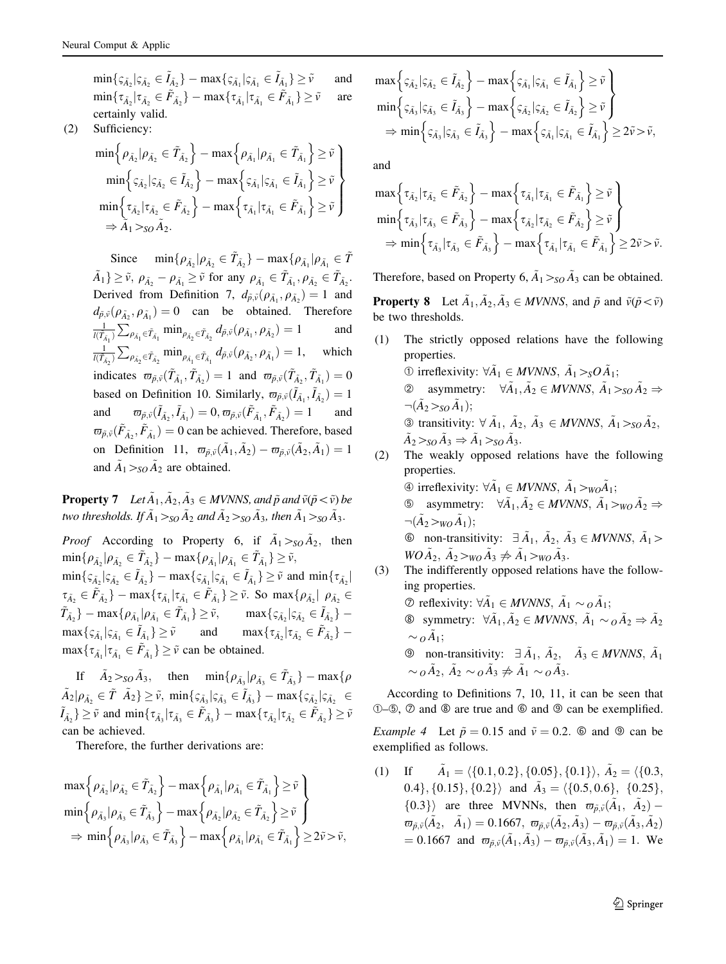$\min\{\varsigma_{\tilde{A}_2}|\varsigma_{\tilde{A}_2}\in \tilde{I}_{\tilde{A}_2}\}-\max\{\varsigma_{\tilde{A}_1}|\varsigma_{\tilde{A}_1}\in \tilde{I}_{\tilde{A}_1}\}\geq \tilde{\nu}$  and  $\min\{\tau_{\tilde{A_2}}|\tau_{\tilde{A_2}}\in \tilde{F}_{\tilde{A_2}}\}-\max\{\tau_{\tilde{A_1}}|\tau_{\tilde{A_1}}\in \tilde{F}_{\tilde{A_1}}\}\geq \tilde{\nu}$  are certainly valid.

# (2) Sufficiency:

$$
\begin{aligned} &\min\left\{\rho_{\tilde{A}_2}|\rho_{\tilde{A}_2}\in\tilde{T}_{\tilde{A}_2}\right\}-\max\left\{\rho_{\tilde{A}_1}|\rho_{\tilde{A}_1}\in\tilde{T}_{\tilde{A}_1}\right\}\geq\tilde{\nu}\\ &\min\left\{\varsigma_{\tilde{A}_2}|\varsigma_{\tilde{A}_2}\in\tilde{I}_{\tilde{A}_2}\right\}-\max\left\{\varsigma_{\tilde{A}_1}|\varsigma_{\tilde{A}_1}\in\tilde{I}_{\tilde{A}_1}\right\}\geq\tilde{\nu}\\ &\min\left\{\tau_{\tilde{A}_2}|\tau_{\tilde{A}_2}\in\tilde{F}_{\tilde{A}_2}\right\}-\max\left\{\tau_{\tilde{A}_1}|\tau_{\tilde{A}_1}\in\tilde{F}_{\tilde{A}_1}\right\}\geq\tilde{\nu}\\ &\Rightarrow\tilde{A}_1>_{SO}\tilde{A}_2.\end{aligned}
$$

Since  $\min\{\rho_{\tilde{A}_2} | \rho_{\tilde{A}_2} \in \tilde{T}_{\tilde{A}_2}\}\ -\max\{\rho_{\tilde{A}_1} | \rho_{\tilde{A}_1} \in \tilde{T}\}\$  $\tilde{A}_1$ }  $\geq \tilde{v}$ ,  $\rho_{\tilde{A}_2} - \rho_{\tilde{A}_1} \geq \tilde{v}$  for any  $\rho_{\tilde{A}_1} \in \tilde{T}_{\tilde{A}_1}, \rho_{\tilde{A}_2} \in \tilde{T}_{\tilde{A}_2}$ . Derived from Definition 7,  $d_{\tilde{p}, \tilde{v}}(\rho_{\tilde{A}_1}, \rho_{\tilde{A}_2}) = 1$  and  $d_{\tilde{p}, \tilde{v}}(\rho_{\tilde{A}_2}, \rho_{\tilde{A}_1}) = 0$  can be obtained. Therefore  $\frac{1}{l(\tilde{T}_{\tilde{A}_1})}$  $\tilde{P}$  $\rho_{\tilde{A_1}} \in \tilde{T}_{\tilde{A_1}} \min_{\rho_{\tilde{A_2}} \in \tilde{T}_{\tilde{A_2}}} d_{\tilde{p},\tilde{v}}(\rho_{\tilde{A_1}}, \rho_{\tilde{A_2}}) = 1$  and  $\frac{1}{l(\tilde{T}_{\tilde{A}_2})}$ indicates  $\overline{\omega}_{\tilde{p},\tilde{v}}(\tilde{T}_{\tilde{A}_1}, \tilde{T}_{\tilde{A}_2}) = 1$  and  $\overline{\omega}_{\tilde{p},\tilde{v}}(\tilde{T}_{\tilde{A}_2}, \tilde{T}_{\tilde{A}_1}) = 0$  $\overline{ }$  $\rho_{\tilde{A_2}} \in \tilde{T}_{\tilde{A_2}}$  min $\rho_{\tilde{A_1}} \in \tilde{T}_{\tilde{A_1}} d_{\tilde{p},\tilde{v}} (\rho_{\tilde{A_2}}, \rho_{\tilde{A_1}}) = 1$ , which based on Definition 10. Similarly,  $\overline{\omega}_{\tilde{p}, \tilde{v}}(\tilde{I}_{\tilde{A}_1}, \tilde{I}_{\tilde{A}_2}) = 1$ and  $\qquad \overline{\omega}_{\tilde{p},\tilde{v}}(\tilde{I}_{\tilde{A}_2},\tilde{I}_{\tilde{A}_1})=0,\overline{\omega}_{\tilde{p},\tilde{v}}(\tilde{F}_{\tilde{A}_1},\tilde{F}_{\tilde{A}_2})=1$  and  $\varpi_{\tilde{p},\tilde{v}}(\tilde{F}_{\tilde{A}_2},\tilde{F}_{\tilde{A}_1})=0$  can be achieved. Therefore, based on Definition 11,  $\overline{\omega}_{\tilde{\rho},\tilde{v}}(\tilde{A}_1,\tilde{A}_2) - \overline{\omega}_{\tilde{\rho},\tilde{v}}(\tilde{A}_2,\tilde{A}_1) = 1$ and  $A_1 >_{SO} A_2$  are obtained.

**Property 7** Let  $\tilde{A}_1$ ,  $\tilde{A}_2$ ,  $\tilde{A}_3 \in MVMNS$ , and  $\tilde{p}$  and  $\tilde{v}(\tilde{p} < \tilde{v})$  be two thresholds. If  $\tilde{A}_1 >_{SO} \tilde{A}_2$  and  $\tilde{A}_2 >_{SO} \tilde{A}_3$ , then  $\tilde{A}_1 >_{SO} \tilde{A}_3$ .

*Proof* According to Property 6, if  $\tilde{A}_1 >_{SO} \tilde{A}_2$ , then  $\min\{\rho_{\tilde{A}_2}|\rho_{\tilde{A}_2}\in \tilde{T}_{\tilde{A}_2}\}-\max\{\rho_{\tilde{A}_1}|\rho_{\tilde{A}_1}\in \tilde{T}_{\tilde{A}_1}\}\geq \tilde{\nu},$  $\min\{\varsigma_{\tilde{A}_2}|\varsigma_{\tilde{A}_2}\in \tilde{I}_{\tilde{A}_2}\}-\max\{\varsigma_{\tilde{A}_1}|\varsigma_{\tilde{A}_1}\in \tilde{I}_{\tilde{A}_1}\}\geq \tilde{v} \text{ and } \min\{\tau_{\tilde{A}_2}|\}$  $\tau_{\tilde{A}_2} \in \tilde{F}_{\tilde{A}_2}$  -  $\max\{\tau_{\tilde{A}_1} | \tau_{\tilde{A}_1} \in \tilde{F}_{\tilde{A}_1}\}\geq \tilde{v}$ . So  $\max\{\rho_{\tilde{A}_2} | \rho_{\tilde{A}_2} \in$  $\tilde{T}_{\tilde{A}_2}$ } – max $\{\rho_{\tilde{A}_1} | \rho_{\tilde{A}_1} \in \tilde{T}_{\tilde{A}_1}\}\geq \tilde{v}$ , max $\{\varsigma_{\tilde{A}_2} | \varsigma_{\tilde{A}_2} \in \tilde{I}_{\tilde{A}_2}\}$  –  $\max\{\varsigma_{\tilde{A}_1}|\varsigma_{\tilde{A}_1}\in\tilde{I}_{\tilde{A}_1}\}\geq\tilde{\nu}$  and  $\max\{\tau_{\tilde{A}_2}$  $|\tau_{\tilde{A_2}} \in \tilde{F}_{\tilde{A_2}} \}$  –  $\max\{\tau_{\tilde{A}_1} | \tau_{\tilde{A}_1} \in \tilde{F}_{\tilde{A}_1}\}\geq \tilde{v}$  can be obtained.

If  $\tilde{A}_2 >_{SO} \tilde{A}_3$ , then  $\min\{\rho_{\tilde{A}_3} | \rho_{\tilde{A}_3} \in \tilde{T}_{\tilde{A}_3}\}\$  -  $\max\{\rho\}$  $|\tilde{A}_2|\rho_{\tilde{A}_2}\in \tilde{T}~~ \tilde{A}_2\}\geq \tilde{\nu},~\min\{\varsigma_{\tilde{A}_3}|\varsigma_{\tilde{A}_3}\in \tilde{I}_{\tilde{A}_3}\} - \max\{\varsigma_{\tilde{A}_2}|\varsigma_{\tilde{A}_2}|\in \tilde{I}_{\tilde{A}_3}\}$  $\{\tilde{I}_{\tilde{A}_2}\}\geq \tilde{v}$  and  $\min\{\tau_{\tilde{A}_3}|\tau_{\tilde{A}_3}\in \tilde{F}_{\tilde{A}_3}\}-\max\{\tau_{\tilde{A}_2}|\tau_{\tilde{A}_2}\in \tilde{F}_{\tilde{A}_2}\}\geq \tilde{v}$ can be achieved.

Therefore, the further derivations are:

$$
\max \left\{ \rho_{\tilde{A}_2} | \rho_{\tilde{A}_2} \in \tilde{T}_{\tilde{A}_2} \right\} - \max \left\{ \rho_{\tilde{A}_1} | \rho_{\tilde{A}_1} \in \tilde{T}_{\tilde{A}_1} \right\} \ge \tilde{\nu}
$$
\n
$$
\min \left\{ \rho_{\tilde{A}_3} | \rho_{\tilde{A}_3} \in \tilde{T}_{\tilde{A}_3} \right\} - \max \left\{ \rho_{\tilde{A}_2} | \rho_{\tilde{A}_2} \in \tilde{T}_{\tilde{A}_2} \right\} \ge \tilde{\nu}
$$
\n
$$
\Rightarrow \min \left\{ \rho_{\tilde{A}_3} | \rho_{\tilde{A}_3} \in \tilde{T}_{\tilde{A}_3} \right\} - \max \left\{ \rho_{\tilde{A}_1} | \rho_{\tilde{A}_1} \in \tilde{T}_{\tilde{A}_1} \right\} \ge 2\tilde{\nu} > \tilde{\nu},
$$

$$
\max\left\{\varsigma_{\tilde{A}_2}|\varsigma_{\tilde{A}_2}\in \tilde{I}_{\tilde{A}_2}\right\}-\max\left\{\varsigma_{\tilde{A}_1}|\varsigma_{\tilde{A}_1}\in \tilde{I}_{\tilde{A}_1}\right\}\geq \tilde{\nu}
$$
\n
$$
\min\left\{\varsigma_{\tilde{A}_3}|\varsigma_{\tilde{A}_3}\in \tilde{I}_{\tilde{A}_3}\right\}-\max\left\{\varsigma_{\tilde{A}_2}|\varsigma_{\tilde{A}_2}\in \tilde{I}_{\tilde{A}_2}\right\}\geq \tilde{\nu}
$$
\n
$$
\Rightarrow \min\left\{\varsigma_{\tilde{A}_3}|\varsigma_{\tilde{A}_3}\in \tilde{I}_{\tilde{A}_3}\right\}-\max\left\{\varsigma_{\tilde{A}_1}|\varsigma_{\tilde{A}_1}\in \tilde{I}_{\tilde{A}_1}\right\}\geq 2\tilde{\nu}>\tilde{\nu},
$$

and

$$
\max\left\{\tau_{\tilde{A}_2}|\tau_{\tilde{A}_2} \in \tilde{F}_{\tilde{A}_2}\right\} - \max\left\{\tau_{\tilde{A}_1}|\tau_{\tilde{A}_1} \in \tilde{F}_{\tilde{A}_1}\right\} \ge \tilde{\nu}
$$
\n
$$
\min\left\{\tau_{\tilde{A}_3}|\tau_{\tilde{A}_3} \in \tilde{F}_{\tilde{A}_3}\right\} - \max\left\{\tau_{\tilde{A}_2}|\tau_{\tilde{A}_2} \in \tilde{F}_{\tilde{A}_2}\right\} \ge \tilde{\nu}
$$
\n
$$
\Rightarrow \min\left\{\tau_{\tilde{A}_3}|\tau_{\tilde{A}_3} \in \tilde{F}_{\tilde{A}_3}\right\} - \max\left\{\tau_{\tilde{A}_1}|\tau_{\tilde{A}_1} \in \tilde{F}_{\tilde{A}_1}\right\} \ge 2\tilde{\nu} > \tilde{\nu}.
$$

Therefore, based on Property 6,  $\tilde{A}_1 >_{SO} \tilde{A}_3$  can be obtained. **Property 8** Let  $\tilde{A}_1, \tilde{A}_2, \tilde{A}_3 \in MVNNS$ , and  $\tilde{p}$  and  $\tilde{v}(\tilde{p} < \tilde{v})$ be two thresholds.

- (1) The strictly opposed relations have the following properties.  $\circledR$  irreflexivity:  $\forall \tilde{A}_1 \in MVNNS$ ,  $\tilde{A}_1 >_{S} O \tilde{A}_1$ ; 2 asymmetry:  $\forall \tilde{A}_1, \tilde{A}_2 \in MVNNS, \ \tilde{A}_1>_{SO} \tilde{A}_2 \Rightarrow$  $\neg(\tilde{A}_2>_{SO}\tilde{A}_1);$  $\circled{3}$  transitivity:  $\forall \tilde{A}_1, \tilde{A}_2, \tilde{A}_3 \in MVNNS, \tilde{A}_1 >_{SO} \tilde{A}_2$  $\tilde{A}_2 >_{SO} \tilde{A}_3 \Rightarrow \tilde{A}_1 >_{SO} \tilde{A}_3.$
- (2) The weakly opposed relations have the following properties.  $\hat{\Phi}$  irreflexivity:  $\forall \tilde{A}_1 \in MVNNS$ ,  $\tilde{A}_1 >_{WO} \tilde{A}_1$ ;  $\circledast$  asymmetry:  $\forall \tilde{A}_1, \tilde{A}_2 \in MVNNS, \ \tilde{A}_1 >_{W\Omega} \tilde{A}_2 \Rightarrow$

 $\neg(\tilde{A}_2>_{WO}\tilde{A}_1);$  $\circledcirc$  non-transitivity:  $\exists \tilde{A}_1, \tilde{A}_2, \tilde{A}_3 \in MVNNS, \tilde{A}_1$  $WOA<sub>2</sub>, A<sub>2</sub> >_{WO} A<sub>3</sub> \neq A<sub>1</sub> >_{WO} A<sub>3</sub>.$ 

- (3) The indifferently opposed relations have the following properties.
	- $\circledcirc$  reflexivity:  $\forall \tilde{A}_1 \in MVNNS$ ,  $\tilde{A}_1 \sim \circ \tilde{A}_1$ ; **8** symmetry:  $\forall \tilde{A}_1, \tilde{A}_2 \in MVNNS, \tilde{A}_1 \sim_{Q} \tilde{A}_2 \Rightarrow \tilde{A}_2$  $\sim_{\Omega} \tilde{A}_1$ ;  $\Phi$  non-transitivity:  $\exists \tilde{A}_1, \tilde{A}_2, \tilde{A}_3 \in MVNNS, \tilde{A}_1$  $\sim_{\Omega} \tilde{A}_2$ ,  $\tilde{A}_2 \sim_{\Omega} \tilde{A}_3 \neq \tilde{A}_1 \sim_{\Omega} \tilde{A}_3$ .

According to Definitions 7, 10, 11, it can be seen that 0-6,  $\oslash$  and  $\oslash$  are true and  $\oslash$  and  $\oslash$  can be exemplified.

*Example 4* Let  $\tilde{p} = 0.15$  and  $\tilde{v} = 0.2$ .  $\circledcirc$  and  $\circledcirc$  can be exemplified as follows.

(1) If  $\tilde{A}_1 = \langle \{0.1, 0.2\}, \{0.05\}, \{0.1\} \rangle$ ,  $\tilde{A}_2 = \langle \{0.3,$ 0.4,  $\{0.15\}, \{0.2\}\}\$  and  $\tilde{A}_3 = \{\{0.5, 0.6\}, \{0.25\},\$  $\{0.3\}$  are three MVNNs, then  $\overline{\omega}_{\tilde{p}, \tilde{y}}(\tilde{A}_1, \tilde{A}_2)$  –  $\overline{\omega}_{\tilde{p},\tilde{v}}(\tilde{A}_2, \tilde{A}_1)=0.1667, \ \overline{\omega}_{\tilde{p},\tilde{v}}(\tilde{A}_2,\tilde{A}_3)-\overline{\omega}_{\tilde{p},\tilde{v}}(\tilde{A}_3,\tilde{A}_2)$  $= 0.1667$  and  $\overline{\omega}_{\tilde{p},\tilde{v}}(\tilde{A}_1,\tilde{A}_3) - \overline{\omega}_{\tilde{p},\tilde{v}}(\tilde{A}_3,\tilde{A}_1) = 1$ . We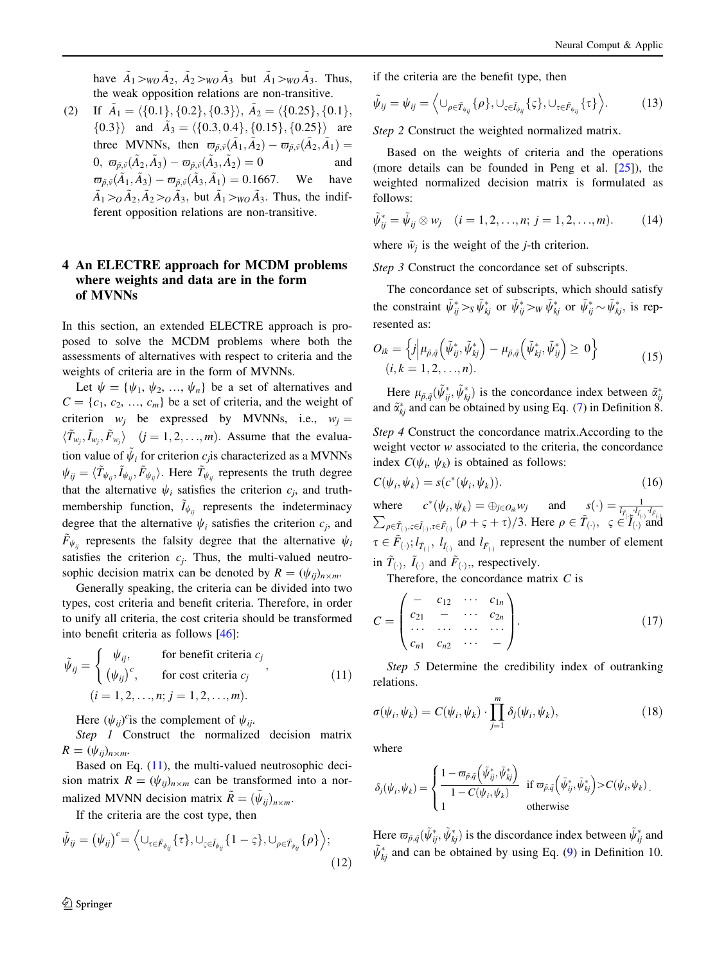<span id="page-7-0"></span>have  $A_1 >_{W_O} A_2$ ,  $A_2 >_{W_O} A_3$  but  $A_1 >_{W_O} A_3$ . Thus, the weak opposition relations are non-transitive.

(2) If  $\tilde{A}_1 = \langle \{0.1\}, \{0.2\}, \{0.3\} \rangle$ ,  $\tilde{A}_2 = \langle \{0.25\}, \{0.1\}, \{0.2\}, \{0.3\} \rangle$  $\{0.3\}$  and  $\tilde{A}_3 = \{\{0.3, 0.4\}, \{0.15\}, \{0.25\}\}\$  are three MVNNs, then  $\overline{\omega}_{\tilde{p},\tilde{v}}(\tilde{A}_1,\tilde{A}_2) - \overline{\omega}_{\tilde{p},\tilde{v}}(\tilde{A}_2,\tilde{A}_1) =$ 0,  $\overline{\omega}_{\tilde{\rho}, \tilde{v}}(\tilde{A}_2, \tilde{A}_3) - \overline{\omega}_{\tilde{\rho}, \tilde{v}}(\tilde{A}_3, \tilde{A}_2) = 0$  and  $\overline{\omega}_{\tilde{p},\tilde{v}}(\tilde{A}_1,\tilde{A}_3)-\overline{\omega}_{\tilde{p},\tilde{v}}(\tilde{A}_3,\tilde{A}_1)=0.1667$ . We have  $\tilde{A}_1 >_{\Omega} \tilde{A}_2, \tilde{A}_2 >_{\Omega} \tilde{A}_3$ , but  $\tilde{A}_1 >_{W\Omega} \tilde{A}_3$ . Thus, the indifferent opposition relations are non-transitive.

# 4 An ELECTRE approach for MCDM problems where weights and data are in the form of MVNNs

In this section, an extended ELECTRE approach is proposed to solve the MCDM problems where both the assessments of alternatives with respect to criteria and the weights of criteria are in the form of MVNNs.

Let  $\psi = {\psi_1, \psi_2, ..., \psi_n}$  be a set of alternatives and  $C = \{c_1, c_2, ..., c_m\}$  be a set of criteria, and the weight of criterion  $w_i$  be expressed by MVNNs, i.e.,  $w_i =$  $\langle \tilde{T}_{w_j}, \tilde{I}_{w_j}, \tilde{F}_{w_j} \rangle$   $(j = 1, 2, ..., m)$ . Assume that the evaluation value of  $\tilde{\psi}_i$  for criterion  $c_j$ is characterized as a MVNNs  $\psi_{ij} = \langle \tilde{T}_{\psi_{ij}}, \tilde{I}_{\psi_{ij}}, \tilde{F}_{\psi_{ij}} \rangle$ . Here  $\tilde{T}_{\psi_{ij}}$  represents the truth degree that the alternative  $\psi_i$  satisfies the criterion  $c_i$ , and truthmembership function,  $\tilde{I}_{\psi_{ij}}$  represents the indeterminacy degree that the alternative  $\psi_i$  satisfies the criterion  $c_j$ , and  $\hat{F}_{\psi_{ii}}$  represents the falsity degree that the alternative  $\psi_i$ satisfies the criterion  $c_j$ . Thus, the multi-valued neutrosophic decision matrix can be denoted by  $R = (\psi_{ii})_{n \times m}$ .

Generally speaking, the criteria can be divided into two types, cost criteria and benefit criteria. Therefore, in order to unify all criteria, the cost criteria should be transformed into benefit criteria as follows [[46\]](#page-11-0):

$$
\tilde{\psi}_{ij} = \begin{cases}\n\psi_{ij}, & \text{for benefit criteria } c_j \\
(\psi_{ij})^c, & \text{for cost criteria } c_j\n\end{cases}
$$
\n(11)\n  
\n $(i = 1, 2, ..., n; j = 1, 2, ..., m).$ 

Here  $(\psi_{ij})^c$  is the complement of  $\psi_{ij}$ .

Step 1 Construct the normalized decision matrix  $R = (\psi_{ij})_{n \times m}$ .

Based on Eq. (11), the multi-valued neutrosophic decision matrix  $R = (\psi_{ij})_{n \times m}$  can be transformed into a normalized MVNN decision matrix  $\tilde{R} = (\tilde{\psi}_{ij})_{n \times m}$ .

If the criteria are the cost type, then

$$
\tilde{\psi}_{ij} = (\psi_{ij})^c = \left\langle \cup_{\tau \in \tilde{F}_{\psi_{ij}}} \{\tau\}, \cup_{\varsigma \in \tilde{I}_{\psi_{ij}}} \{1 - \varsigma\}, \cup_{\rho \in \tilde{T}_{\psi_{ij}}} \{\rho\} \right\rangle; \tag{12}
$$

if the criteria are the benefit type, then

$$
\tilde{\psi}_{ij} = \psi_{ij} = \left\langle \cup_{\rho \in \tilde{T}_{\psi_{ij}}} \{\rho\}, \cup_{\varsigma \in \tilde{I}_{\psi_{ij}}} \{\varsigma\}, \cup_{\tau \in \tilde{F}_{\psi_{ij}}} \{\tau\} \right\rangle. \tag{13}
$$

Step 2 Construct the weighted normalized matrix.

Based on the weights of criteria and the operations (more details can be founded in Peng et al. [[25\]](#page-11-0)), the weighted normalized decision matrix is formulated as follows:

$$
\tilde{\psi}_{ij}^* = \tilde{\psi}_{ij} \otimes w_j \quad (i = 1, 2, \dots, n; j = 1, 2, \dots, m). \tag{14}
$$

where  $\tilde{w}_j$  is the weight of the *j*-th criterion.

Step 3 Construct the concordance set of subscripts.

The concordance set of subscripts, which should satisfy the constraint  $\tilde{\psi}_{ij}^* >_{S} \tilde{\psi}_{kj}^*$  or  $\tilde{\psi}_{ij}^* >_{W} \tilde{\psi}_{kj}^*$  or  $\tilde{\psi}_{ij}^* \sim \tilde{\psi}_{kj}^*$ , is represented as:

$$
O_{ik} = \left\{ j \middle| \mu_{\tilde{p},\tilde{q}} \left( \tilde{\psi}_{ij}^*, \tilde{\psi}_{kj}^* \right) - \mu_{\tilde{p},\tilde{q}} \left( \tilde{\psi}_{kj}^*, \tilde{\psi}_{ij}^* \right) \ge 0 \right\}
$$
\n(15)

\n
$$
(i, k = 1, 2, \ldots, n).
$$

Here  $\mu_{\tilde{p},\tilde{q}}(\tilde{\psi}_{ij}^*, \tilde{\psi}_{kj}^*)$  is the concordance index between  $\tilde{\alpha}_{ij}^*$ and  $\tilde{\alpha}_{kj}^*$  and can be obtained by using Eq. (7) in Definition 8.

Step 4 Construct the concordance matrix.According to the weight vector w associated to the criteria, the concordance index  $C(\psi_i, \psi_k)$  is obtained as follows:

$$
C(\psi_i, \psi_k) = s(c^*(\psi_i, \psi_k)).
$$
\n(16)

where  $c^*(\psi_i, \psi_k) = \bigoplus_{j \in O_{ik}} w_j$  and  $s(\cdot) = \frac{1}{l_{\overline{f}(\cdot)} \cdot l_{\overline{f}(\cdot)}} \sum_{j \in \overline{T}_{(\cdot)}, \varsigma \in \overline{f}_{(\cdot)}, \varsigma \in \overline{f}_{(\cdot)}} ( \rho + \varsigma + \tau)/3$ . Here  $\rho \in \widetilde{T}_{(\cdot)}, \varsigma \in \widetilde{T}_{(\cdot)}$  and  $\tau \in \tilde{F}_{(\cdot)}$ ;  $l_{\tilde{F}_{(\cdot)}}$  and  $l_{\tilde{F}_{(\cdot)}}$  represent the number of element in  $\tilde{T}_{(\cdot)}$ ,  $\tilde{I}_{(\cdot)}$  and  $\tilde{F}_{(\cdot)}$ , respectively.

Therefore, the concordance matrix  $C$  is

$$
C = \begin{pmatrix} - & c_{12} & \cdots & c_{1n} \\ c_{21} & - & \cdots & c_{2n} \\ \cdots & \cdots & \cdots & \cdots \\ c_{n1} & c_{n2} & \cdots & - \end{pmatrix}.
$$
 (17)

Step 5 Determine the credibility index of outranking relations.

$$
\sigma(\psi_i, \psi_k) = C(\psi_i, \psi_k) \cdot \prod_{j=1}^m \delta_j(\psi_i, \psi_k), \qquad (18)
$$

where

$$
\delta_j(\psi_i, \psi_k) = \begin{cases} \frac{1 - \varpi_{\tilde{p}, \tilde{q}}\left(\tilde{\psi}_{ij}^*, \tilde{\psi}_{kj}^*\right)}{1 - C(\psi_i, \psi_k)} & \text{if } \varpi_{\tilde{p}, \tilde{q}}\left(\tilde{\psi}_{ij}^*, \tilde{\psi}_{kj}^*\right) > C(\psi_i, \psi_k) \\ 1 & \text{otherwise} \end{cases}.
$$

Here  $\varpi_{\tilde{p},\tilde{q}}(\tilde{\psi}_{ij}^*, \tilde{\psi}_{kj}^*)$  is the discordance index between  $\tilde{\psi}_{ij}^*$  and  $\tilde{\psi}_{kj}^*$  and can be obtained by using Eq. (9) in Definition 10.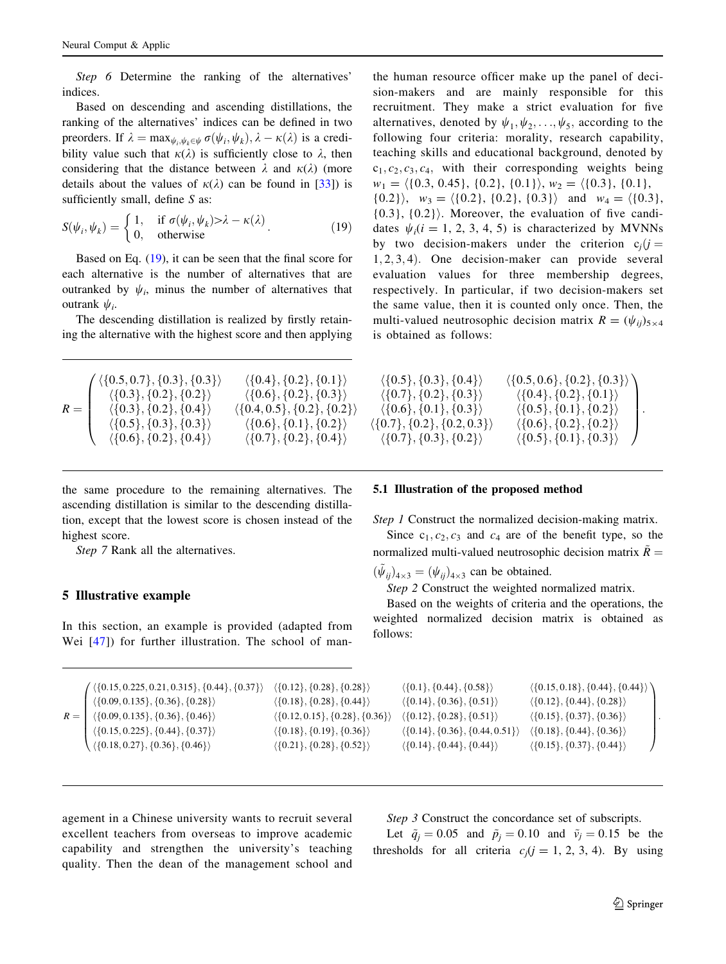<span id="page-8-0"></span>Step 6 Determine the ranking of the alternatives' indices.

Based on descending and ascending distillations, the ranking of the alternatives' indices can be defined in two preorders. If  $\lambda = \max_{\psi_i, \psi_k \in \Psi} \sigma(\psi_i, \psi_k), \lambda - \kappa(\lambda)$  is a credibility value such that  $\kappa(\lambda)$  is sufficiently close to  $\lambda$ , then considering that the distance between  $\lambda$  and  $\kappa(\lambda)$  (more details about the values of  $\kappa(\lambda)$  can be found in [[33\]](#page-11-0)) is sufficiently small, define S as:

$$
S(\psi_i, \psi_k) = \begin{cases} 1, & \text{if } \sigma(\psi_i, \psi_k) > \lambda - \kappa(\lambda) \\ 0, & \text{otherwise} \end{cases}
$$
 (19)

Based on Eq. (19), it can be seen that the final score for each alternative is the number of alternatives that are outranked by  $\psi_i$ , minus the number of alternatives that outrank  $\psi_i$ .

The descending distillation is realized by firstly retaining the alternative with the highest score and then applying

 $R =$  $\langle \{0.5, 0.7\}, \{0.3\}, \{0.3\} \rangle$   $\langle \{0.4\}, \{0.2\}, \{0.1\} \rangle$  $\langle \{0.3\}, \{0.2\}, \{0.2\} \rangle \qquad \langle \{0.6\}, \{0.2\}, \{0.3\} \rangle \qquad \langle \{0.7\}, \{0.2\}, \{0.3\} \rangle \qquad \langle \{0.4\}, \{0.2\}, \{0.1\} \rangle$  $\langle \{0.4, 0.5\}, \{0.2\}, \{0.2\} \rangle$  $\langle \{0.5\}, \{0.3\}, \{0.3\} \rangle \qquad \langle \{0.6\}, \{0.1\}, \{0.2\} \rangle \qquad \langle \{0.7\}, \{0.2\}, \{0.2, 0.3\} \rangle \qquad \langle \{0.6\}, \{0.2\}, \{0.2\} \rangle$  $\overline{1}$  $\vert$ 

the same procedure to the remaining alternatives. The ascending distillation is similar to the descending distillation, except that the lowest score is chosen instead of the highest score.

Step 7 Rank all the alternatives.

### 5 Illustrative example

In this section, an example is provided (adapted from Wei [[47\]](#page-11-0)) for further illustration. The school of manthe human resource officer make up the panel of decision-makers and are mainly responsible for this recruitment. They make a strict evaluation for five alternatives, denoted by  $\psi_1, \psi_2, \ldots, \psi_5$ , according to the following four criteria: morality, research capability, teaching skills and educational background, denoted by  $c_1, c_2, c_3, c_4$ , with their corresponding weights being  $w_1 = \langle \{0.3, 0.45\}, \{0.2\}, \{0.1\}\rangle, w_2 = \langle \{0.3\}, \{0.1\}, \{0.4\}\rangle$  $\{0.2\}, w_3 = \langle \{0.2\}, \{0.2\}, \{0.3\}\rangle$  and  $w_4 = \langle \{0.3\},\$  $\{0.3\}, \{0.2\}\.$  Moreover, the evaluation of five candidates  $\psi_i(i = 1, 2, 3, 4, 5)$  is characterized by MVNNs by two decision-makers under the criterion  $c_i$  (*j* =  $1, 2, 3, 4$ ). One decision-maker can provide several evaluation values for three membership degrees, respectively. In particular, if two decision-makers set the same value, then it is counted only once. Then, the multi-valued neutrosophic decision matrix  $R = (\psi_{ii})_{5 \times 4}$ is obtained as follows:

| $\{0.5, 0.7\}, \{0.3\}, \{0.3\}\}\$         | $\{\{0.4\}, \{0.2\}, \{0.1\}\}\$            | $\langle \{0.5\}, \{0.3\}, \{0.4\} \rangle$      | $\langle \{0.5, 0.6\}, \{0.2\}, \{0.3\} \rangle$ |  |
|---------------------------------------------|---------------------------------------------|--------------------------------------------------|--------------------------------------------------|--|
| $\langle \{0.3\}, \{0.2\}, \{0.2\} \rangle$ | $\langle \{0.6\}, \{0.2\}, \{0.3\} \rangle$ | $\langle \{0.7\}, \{0.2\}, \{0.3\} \rangle$      | $\langle \{0.4\}, \{0.2\}, \{0.1\} \rangle$      |  |
| $\langle \{0.3\}, \{0.2\}, \{0.4\} \rangle$ | $\{\{0.4, 0.5\}, \{0.2\}, \{0.2\}\}\$       | $\{0.6\}, \{0.1\}, \{0.3\}\}\$                   | $\langle \{0.5\}, \{0.1\}, \{0.2\} \rangle$      |  |
| $\langle \{0.5\}, \{0.3\}, \{0.3\} \rangle$ | $\langle \{0.6\}, \{0.1\}, \{0.2\} \rangle$ | $\langle \{0.7\}, \{0.2\}, \{0.2, 0.3\} \rangle$ | $\langle \{0.6\}, \{0.2\}, \{0.2\} \rangle$      |  |
| $\langle \{0.6\}, \{0.2\}, \{0.4\} \rangle$ | $\langle \{0.7\}, \{0.2\}, \{0.4\} \rangle$ | $\langle \{0.7\}, \{0.3\}, \{0.2\} \rangle$      | $\langle \{0.5\}, \{0.1\}, \{0.3\} \rangle$      |  |

#### 5.1 Illustration of the proposed method

Step 1 Construct the normalized decision-making matrix.

Since  $c_1, c_2, c_3$  and  $c_4$  are of the benefit type, so the normalized multi-valued neutrosophic decision matrix  $\tilde{R}$  =

 $(\tilde{\psi}_{ij})_{4\times3} = (\psi_{ij})_{4\times3}$  can be obtained.

Step 2 Construct the weighted normalized matrix.

Based on the weights of criteria and the operations, the weighted normalized decision matrix is obtained as follows:

| $R =$ | $\langle \{0.15, 0.225, 0.21, 0.315\}, \{0.44\}, \{0.37\}\rangle$<br>$\langle \{0.09, 0.135\}, \{0.36\}, \{0.28\} \rangle$<br>$\langle \{0.09, 0.135\}, \{0.36\}, \{0.46\} \rangle$<br>$\langle \{0.15, 0.225\}, \{0.44\}, \{0.37\} \rangle$ | $\langle \{0.12\}, \{0.28\}, \{0.28\} \rangle$<br>$\langle \{0.18\}, \{0.28\}, \{0.44\} \rangle$<br>$\langle \{0.12, 0.15\}, \{0.28\}, \{0.36\} \rangle$<br>$\langle \{0.18\}, \{0.19\}, \{0.36\} \rangle$ | $\langle \{0.1\}, \{0.44\}, \{0.58\} \rangle$<br>$\langle \{0.14\}, \{0.36\}, \{0.51\} \rangle$<br>$\langle \{0.12\}, \{0.28\}, \{0.51\} \rangle$<br>$\langle \{0.14\}, \{0.36\}, \{0.44, 0.51\} \rangle$ | $\langle \{0.15, 0.18\}, \{0.44\}, \{0.44\} \rangle$<br>$\langle \{0.12\}, \{0.44\}, \{0.28\} \rangle$<br>$\langle \{0.15\}, \{0.37\}, \{0.36\} \rangle$<br>$\langle \{0.18\}, \{0.44\}, \{0.36\} \rangle$ |  |
|-------|----------------------------------------------------------------------------------------------------------------------------------------------------------------------------------------------------------------------------------------------|------------------------------------------------------------------------------------------------------------------------------------------------------------------------------------------------------------|-----------------------------------------------------------------------------------------------------------------------------------------------------------------------------------------------------------|------------------------------------------------------------------------------------------------------------------------------------------------------------------------------------------------------------|--|
|       | $\langle \{0.18, 0.27\}, \{0.36\}, \{0.46\} \rangle$                                                                                                                                                                                         | $\langle \{0.21\}, \{0.28\}, \{0.52\} \rangle$                                                                                                                                                             | $\langle \{0.14\}, \{0.44\}, \{0.44\} \rangle$                                                                                                                                                            | $\langle \{0.15\}, \{0.37\}, \{0.44\} \rangle$                                                                                                                                                             |  |

agement in a Chinese university wants to recruit several excellent teachers from overseas to improve academic capability and strengthen the university's teaching quality. Then the dean of the management school and

Step 3 Construct the concordance set of subscripts.

Let  $\tilde{q}_i = 0.05$  and  $\tilde{p}_i = 0.10$  and  $\tilde{v}_j = 0.15$  be the thresholds for all criteria  $c_i$ ( $j = 1, 2, 3, 4$ ). By using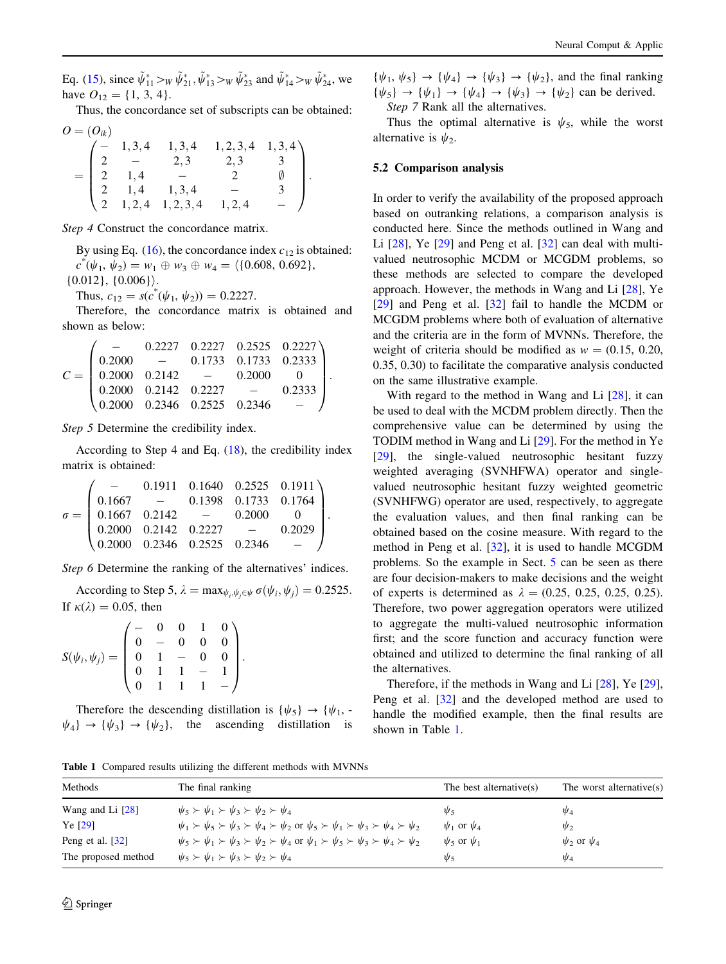<span id="page-9-0"></span>Eq. (15), since  $\tilde{\psi}_{11}^* >_W \tilde{\psi}_{21}^*, \tilde{\psi}_{13}^* >_W \tilde{\psi}_{23}^*$  and  $\tilde{\psi}_{14}^* >_W \tilde{\psi}_{24}^*$ , we have  $O_{12} = \{1, 3, 4\}.$ 

Thus, the concordance set of subscripts can be obtained:

| $O=(O_{ik})$ |  |                                                                                                                             |                            |                                               |  |
|--------------|--|-----------------------------------------------------------------------------------------------------------------------------|----------------------------|-----------------------------------------------|--|
|              |  |                                                                                                                             | $1, 2, 3, 4 \quad 1, 3, 4$ |                                               |  |
|              |  |                                                                                                                             | 2, 3                       |                                               |  |
|              |  |                                                                                                                             | $\overline{2}$             |                                               |  |
|              |  |                                                                                                                             |                            |                                               |  |
|              |  | $= \begin{pmatrix} - & 1,3,4 & 1,3,4 \\ 2 & - & 2,3 \\ 2 & 1,4 & - \\ 2 & 1,4 & 1,3,4 \\ 2 & 1,2,4 & 1,2,3,4 \end{pmatrix}$ | 1, 2, 4                    | $\begin{pmatrix} 0 \\ 3 \\ - \end{pmatrix}$ . |  |

Step 4 Construct the concordance matrix.

By using Eq. (16), the concordance index  $c_{12}$  is obtained:  $c^*(\psi_1, \psi_2) = w_1 \oplus w_3 \oplus w_4 = \langle \{0.608, 0.692\}, \rangle$  $\{0.012\}, \{0.006\}\.$ 

Thus, 
$$
c_{12} = s(c^*(\psi_1, \psi_2)) = 0.2227
$$
.

Therefore, the concordance matrix is obtained and shown as below:

$$
C = \begin{pmatrix} - & 0.2227 & 0.2227 & 0.2525 & 0.2227 \\ 0.2000 & - & 0.1733 & 0.1733 & 0.2333 \\ 0.2000 & 0.2142 & - & 0.2000 & 0 \\ 0.2000 & 0.2142 & 0.2227 & - & 0.2333 \\ 0.2000 & 0.2346 & 0.2525 & 0.2346 & - \end{pmatrix}.
$$

Step 5 Determine the credibility index.

According to Step 4 and Eq. (18), the credibility index matrix is obtained:

$$
\sigma = \begin{pmatrix}\n- & 0.1911 & 0.1640 & 0.2525 & 0.1911 \\
0.1667 & - & 0.1398 & 0.1733 & 0.1764 \\
0.1667 & 0.2142 & - & 0.2000 & 0 \\
0.2000 & 0.2142 & 0.2227 & - & 0.2029 \\
0.2000 & 0.2346 & 0.2525 & 0.2346 & -\n\end{pmatrix}.
$$

Step 6 Determine the ranking of the alternatives' indices.

According to Step 5,  $\lambda = \max_{\psi_i, \psi_j \in \psi} \sigma(\psi_i, \psi_j) = 0.2525$ . If  $\kappa(\lambda) = 0.05$ , then

$$
S(\psi_i, \psi_j) = \begin{pmatrix} - & 0 & 0 & 1 & 0 \\ 0 & - & 0 & 0 & 0 \\ 0 & 1 & - & 0 & 0 \\ 0 & 1 & 1 & - & 1 \\ 0 & 1 & 1 & 1 & - \end{pmatrix}.
$$

Therefore the descending distillation is  $\{\psi_5\} \rightarrow \{\psi_1, -\psi_2\}$  $\psi_4$   $\rightarrow$  { $\psi_3$ }  $\rightarrow$  { $\psi_2$ }, the ascending distillation is  $\{\psi_1, \psi_5\} \rightarrow \{\psi_4\} \rightarrow \{\psi_3\} \rightarrow \{\psi_2\}$ , and the final ranking  $\{\psi_5\} \rightarrow \{\psi_1\} \rightarrow \{\psi_4\} \rightarrow \{\psi_3\} \rightarrow \{\psi_2\}$  can be derived.

Step 7 Rank all the alternatives.

Thus the optimal alternative is  $\psi$ <sub>5</sub>, while the worst alternative is  $\psi_2$ .

## 5.2 Comparison analysis

In order to verify the availability of the proposed approach based on outranking relations, a comparison analysis is conducted here. Since the methods outlined in Wang and Li [[28\]](#page-11-0), Ye [\[29](#page-11-0)] and Peng et al. [\[32](#page-11-0)] can deal with multivalued neutrosophic MCDM or MCGDM problems, so these methods are selected to compare the developed approach. However, the methods in Wang and Li [[28\]](#page-11-0), Ye [\[29](#page-11-0)] and Peng et al. [[32\]](#page-11-0) fail to handle the MCDM or MCGDM problems where both of evaluation of alternative and the criteria are in the form of MVNNs. Therefore, the weight of criteria should be modified as  $w = (0.15, 0.20, ...)$ 0.35, 0.30) to facilitate the comparative analysis conducted on the same illustrative example.

With regard to the method in Wang and Li [\[28](#page-11-0)], it can be used to deal with the MCDM problem directly. Then the comprehensive value can be determined by using the TODIM method in Wang and Li [\[29](#page-11-0)]. For the method in Ye [\[29](#page-11-0)], the single-valued neutrosophic hesitant fuzzy weighted averaging (SVNHFWA) operator and singlevalued neutrosophic hesitant fuzzy weighted geometric (SVNHFWG) operator are used, respectively, to aggregate the evaluation values, and then final ranking can be obtained based on the cosine measure. With regard to the method in Peng et al. [[32\]](#page-11-0), it is used to handle MCGDM problems. So the example in Sect. [5](#page-8-0) can be seen as there are four decision-makers to make decisions and the weight of experts is determined as  $\lambda = (0.25, 0.25, 0.25, 0.25)$ . Therefore, two power aggregation operators were utilized to aggregate the multi-valued neutrosophic information first; and the score function and accuracy function were obtained and utilized to determine the final ranking of all the alternatives.

Therefore, if the methods in Wang and Li [\[28](#page-11-0)], Ye [\[29](#page-11-0)], Peng et al. [[32\]](#page-11-0) and the developed method are used to handle the modified example, then the final results are shown in Table 1.

Table 1 Compared results utilizing the different methods with MVNNs

| Methods             | The final ranking                                                                                                            | The best alternative $(s)$ | The worst alternative(s) |
|---------------------|------------------------------------------------------------------------------------------------------------------------------|----------------------------|--------------------------|
| Wang and Li $[28]$  | $\psi_5 \succ \psi_1 \succ \psi_3 \succ \psi_2 \succ \psi_4$                                                                 | $\psi_5$                   | $\psi_4$                 |
| Ye $[29]$           | $\psi_1 \succ \psi_5 \succ \psi_3 \succ \psi_4 \succ \psi_2$ or $\psi_5 \succ \psi_1 \succ \psi_3 \succ \psi_4 \succ \psi_2$ | $\psi_1$ or $\psi_4$       | $\Psi_2$                 |
| Peng et al. $[32]$  | $\psi_5 \succ \psi_1 \succ \psi_3 \succ \psi_2 \succ \psi_4$ or $\psi_1 \succ \psi_5 \succ \psi_3 \succ \psi_4 \succ \psi_2$ | $\psi_5$ or $\psi_1$       | $\psi_2$ or $\psi_4$     |
| The proposed method | $\psi_5 \succ \psi_1 \succ \psi_3 \succ \psi_2 \succ \psi_4$                                                                 | $\psi_5$                   | $\psi_4$                 |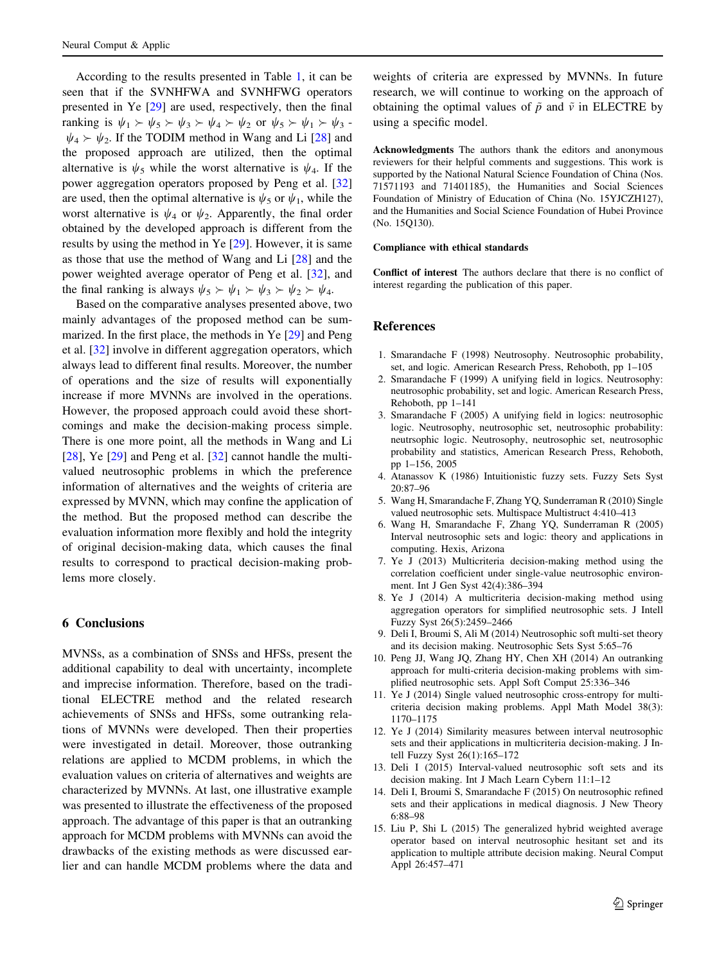<span id="page-10-0"></span>According to the results presented in Table [1,](#page-9-0) it can be seen that if the SVNHFWA and SVNHFWG operators presented in Ye [[29\]](#page-11-0) are used, respectively, then the final ranking is  $\psi_1 \succ \psi_5 \succ \psi_3 \succ \psi_4 \succ \psi_2$  or  $\psi_5 \succ \psi_1 \succ \psi_3$ .  $\psi_4 \succ \psi_2$ . If the TODIM method in Wang and Li [\[28](#page-11-0)] and the proposed approach are utilized, then the optimal alternative is  $\psi_5$  while the worst alternative is  $\psi_4$ . If the power aggregation operators proposed by Peng et al. [[32\]](#page-11-0) are used, then the optimal alternative is  $\psi_5$  or  $\psi_1$ , while the worst alternative is  $\psi_4$  or  $\psi_2$ . Apparently, the final order obtained by the developed approach is different from the results by using the method in Ye [\[29](#page-11-0)]. However, it is same as those that use the method of Wang and Li [[28\]](#page-11-0) and the power weighted average operator of Peng et al. [\[32](#page-11-0)], and the final ranking is always  $\psi_5 \succ \psi_1 \succ \psi_3 \succ \psi_2 \succ \psi_4$ .

Based on the comparative analyses presented above, two mainly advantages of the proposed method can be summarized. In the first place, the methods in Ye [[29\]](#page-11-0) and Peng et al. [[32\]](#page-11-0) involve in different aggregation operators, which always lead to different final results. Moreover, the number of operations and the size of results will exponentially increase if more MVNNs are involved in the operations. However, the proposed approach could avoid these shortcomings and make the decision-making process simple. There is one more point, all the methods in Wang and Li [\[28](#page-11-0)], Ye [\[29\]](#page-11-0) and Peng et al. [[32\]](#page-11-0) cannot handle the multivalued neutrosophic problems in which the preference information of alternatives and the weights of criteria are expressed by MVNN, which may confine the application of the method. But the proposed method can describe the evaluation information more flexibly and hold the integrity of original decision-making data, which causes the final results to correspond to practical decision-making problems more closely.

### 6 Conclusions

MVNSs, as a combination of SNSs and HFSs, present the additional capability to deal with uncertainty, incomplete and imprecise information. Therefore, based on the traditional ELECTRE method and the related research achievements of SNSs and HFSs, some outranking relations of MVNNs were developed. Then their properties were investigated in detail. Moreover, those outranking relations are applied to MCDM problems, in which the evaluation values on criteria of alternatives and weights are characterized by MVNNs. At last, one illustrative example was presented to illustrate the effectiveness of the proposed approach. The advantage of this paper is that an outranking approach for MCDM problems with MVNNs can avoid the drawbacks of the existing methods as were discussed earlier and can handle MCDM problems where the data and

weights of criteria are expressed by MVNNs. In future research, we will continue to working on the approach of obtaining the optimal values of  $\tilde{p}$  and  $\tilde{v}$  in ELECTRE by using a specific model.

Acknowledgments The authors thank the editors and anonymous reviewers for their helpful comments and suggestions. This work is supported by the National Natural Science Foundation of China (Nos. 71571193 and 71401185), the Humanities and Social Sciences Foundation of Ministry of Education of China (No. 15YJCZH127), and the Humanities and Social Science Foundation of Hubei Province (No. 15Q130).

#### Compliance with ethical standards

Conflict of interest The authors declare that there is no conflict of interest regarding the publication of this paper.

### References

- 1. Smarandache F (1998) Neutrosophy. Neutrosophic probability, set, and logic. American Research Press, Rehoboth, pp 1–105
- 2. Smarandache F (1999) A unifying field in logics. Neutrosophy: neutrosophic probability, set and logic. American Research Press, Rehoboth, pp 1–141
- 3. Smarandache F (2005) A unifying field in logics: neutrosophic logic. Neutrosophy, neutrosophic set, neutrosophic probability: neutrsophic logic. Neutrosophy, neutrosophic set, neutrosophic probability and statistics, American Research Press, Rehoboth, pp 1–156, 2005
- 4. Atanassov K (1986) Intuitionistic fuzzy sets. Fuzzy Sets Syst 20:87–96
- 5. Wang H, Smarandache F, Zhang YQ, Sunderraman R (2010) Single valued neutrosophic sets. Multispace Multistruct 4:410–413
- 6. Wang H, Smarandache F, Zhang YQ, Sunderraman R (2005) Interval neutrosophic sets and logic: theory and applications in computing. Hexis, Arizona
- 7. Ye J (2013) Multicriteria decision-making method using the correlation coefficient under single-value neutrosophic environment. Int J Gen Syst 42(4):386–394
- 8. Ye J (2014) A multicriteria decision-making method using aggregation operators for simplified neutrosophic sets. J Intell Fuzzy Syst 26(5):2459–2466
- 9. Deli I, Broumi S, Ali M (2014) Neutrosophic soft multi-set theory and its decision making. Neutrosophic Sets Syst 5:65–76
- 10. Peng JJ, Wang JQ, Zhang HY, Chen XH (2014) An outranking approach for multi-criteria decision-making problems with simplified neutrosophic sets. Appl Soft Comput 25:336–346
- 11. Ye J (2014) Single valued neutrosophic cross-entropy for multicriteria decision making problems. Appl Math Model 38(3): 1170–1175
- 12. Ye J (2014) Similarity measures between interval neutrosophic sets and their applications in multicriteria decision-making. J Intell Fuzzy Syst 26(1):165–172
- 13. Deli I (2015) Interval-valued neutrosophic soft sets and its decision making. Int J Mach Learn Cybern 11:1–12
- 14. Deli I, Broumi S, Smarandache F (2015) On neutrosophic refined sets and their applications in medical diagnosis. J New Theory 6:88–98
- 15. Liu P, Shi L (2015) The generalized hybrid weighted average operator based on interval neutrosophic hesitant set and its application to multiple attribute decision making. Neural Comput Appl 26:457–471